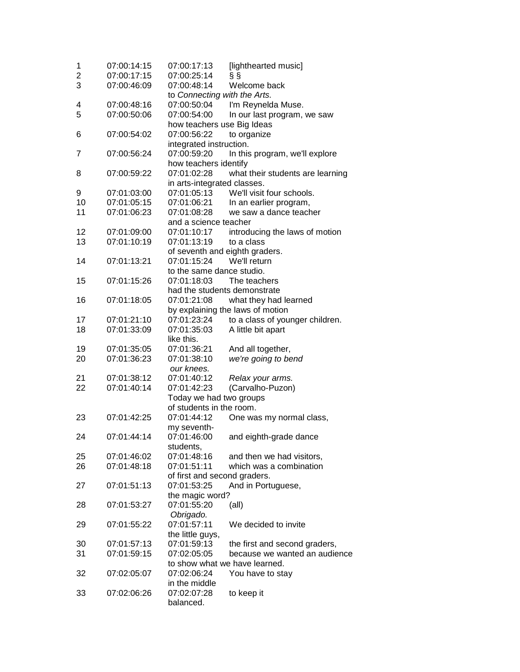| 1  | 07:00:14:15 | 07:00:17:13                    | [lighthearted music]             |
|----|-------------|--------------------------------|----------------------------------|
| 2  | 07:00:17:15 | 07:00:25:14                    | §§                               |
| 3  | 07:00:46:09 | 07:00:48:14                    | Welcome back                     |
|    |             | to Connecting with the Arts.   |                                  |
| 4  | 07:00:48:16 | 07:00:50:04                    | I'm Reynelda Muse.               |
| 5  | 07:00:50:06 | 07:00:54:00                    | In our last program, we saw      |
|    |             | how teachers use Big Ideas     |                                  |
| 6  | 07:00:54:02 | 07:00:56:22                    | to organize                      |
|    |             | integrated instruction.        |                                  |
| 7  | 07:00:56:24 | 07:00:59:20                    | In this program, we'll explore   |
|    |             | how teachers identify          |                                  |
| 8  | 07:00:59:22 | 07:01:02:28                    | what their students are learning |
|    |             | in arts-integrated classes.    |                                  |
| 9  | 07:01:03:00 | 07:01:05:13                    | We'll visit four schools.        |
| 10 | 07:01:05:15 | 07:01:06:21                    | In an earlier program,           |
| 11 | 07:01:06:23 | 07:01:08:28                    | we saw a dance teacher           |
|    |             | and a science teacher          |                                  |
| 12 | 07:01:09:00 | 07:01:10:17                    | introducing the laws of motion   |
| 13 | 07:01:10:19 | 07:01:13:19                    | to a class                       |
|    |             | of seventh and eighth graders. |                                  |
| 14 | 07:01:13:21 | 07:01:15:24                    | We'll return                     |
|    |             | to the same dance studio.      |                                  |
| 15 | 07:01:15:26 | 07:01:18:03                    | The teachers                     |
|    |             | had the students demonstrate   |                                  |
| 16 | 07:01:18:05 | 07:01:21:08                    | what they had learned            |
|    |             |                                | by explaining the laws of motion |
| 17 | 07:01:21:10 | 07:01:23:24                    | to a class of younger children.  |
| 18 | 07:01:33:09 | 07:01:35:03                    | A little bit apart               |
|    |             | like this.                     |                                  |
| 19 | 07:01:35:05 | 07:01:36:21                    | And all together,                |
| 20 | 07:01:36:23 | 07:01:38:10                    | we're going to bend              |
|    |             | our knees.                     |                                  |
| 21 | 07:01:38:12 | 07:01:40:12                    | Relax your arms.                 |
| 22 | 07:01:40:14 | 07:01:42:23                    | (Carvalho-Puzon)                 |
|    |             | Today we had two groups        |                                  |
|    |             | of students in the room.       |                                  |
| 23 | 07:01:42:25 | 07:01:44:12                    | One was my normal class,         |
|    |             | my seventh-                    |                                  |
| 24 | 07:01:44:14 | 07:01:46:00                    | and eighth-grade dance           |
|    |             | students,                      |                                  |
| 25 | 07:01:46:02 | 07:01:48:16                    | and then we had visitors,        |
| 26 | 07:01:48:18 | 07:01:51:11                    | which was a combination          |
|    |             | of first and second graders.   |                                  |
| 27 | 07:01:51:13 | 07:01:53:25                    | And in Portuguese,               |
|    |             | the magic word?                |                                  |
| 28 | 07:01:53:27 | 07:01:55:20                    | (all)                            |
|    |             | Obrigado.                      |                                  |
| 29 | 07:01:55:22 | 07:01:57:11                    | We decided to invite             |
|    |             | the little guys,               |                                  |
| 30 | 07:01:57:13 | 07:01:59:13                    | the first and second graders,    |
| 31 | 07:01:59:15 | 07:02:05:05                    | because we wanted an audience    |
|    |             |                                | to show what we have learned.    |
| 32 | 07:02:05:07 | 07:02:06:24                    | You have to stay                 |
|    |             | in the middle                  |                                  |
| 33 | 07:02:06:26 | 07:02:07:28                    | to keep it                       |
|    |             | balanced.                      |                                  |
|    |             |                                |                                  |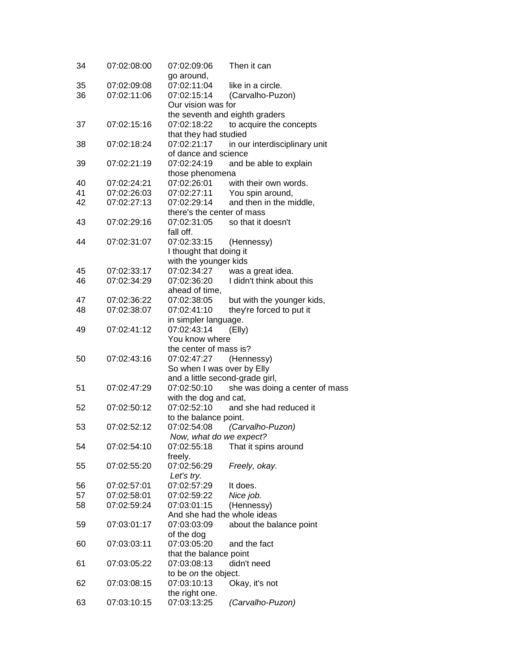| 34 | 07:02:08:00 | 07:02:09:06                | Then it can                     |
|----|-------------|----------------------------|---------------------------------|
|    |             | go around,                 |                                 |
| 35 | 07:02:09:08 | 07:02:11:04                | like in a circle.               |
| 36 | 07:02:11:06 | 07:02:15:14                | (Carvalho-Puzon)                |
|    |             | Our vision was for         |                                 |
|    |             |                            | the seventh and eighth graders  |
| 37 | 07:02:15:16 | 07:02:18:22                | to acquire the concepts         |
|    |             | that they had studied      |                                 |
| 38 | 07:02:18:24 | 07:02:21:17                | in our interdisciplinary unit   |
|    |             | of dance and science       |                                 |
| 39 | 07:02:21:19 | 07:02:24:19                | and be able to explain          |
|    |             | those phenomena            |                                 |
| 40 | 07:02:24:21 | 07:02:26:01                | with their own words.           |
| 41 | 07:02:26:03 | 07:02:27:11                | You spin around,                |
| 42 | 07:02:27:13 | 07:02:29:14                |                                 |
|    |             |                            | and then in the middle,         |
|    |             | there's the center of mass |                                 |
| 43 | 07:02:29:16 | 07:02:31:05                | so that it doesn't              |
|    |             | fall off.                  |                                 |
| 44 | 07:02:31:07 | 07:02:33:15                | (Hennessy)                      |
|    |             | I thought that doing it    |                                 |
|    |             | with the younger kids      |                                 |
| 45 | 07:02:33:17 | 07:02:34:27                | was a great idea.               |
| 46 | 07:02:34:29 | 07:02:36:20                | I didn't think about this       |
|    |             | ahead of time,             |                                 |
| 47 | 07:02:36:22 | 07:02:38:05                | but with the younger kids,      |
| 48 | 07:02:38:07 | 07:02:41:10                | they're forced to put it        |
|    |             | in simpler language.       |                                 |
| 49 | 07:02:41:12 | 07:02:43:14                | (EIly)                          |
|    |             | You know where             |                                 |
|    |             | the center of mass is?     |                                 |
| 50 | 07:02:43:16 | 07:02:47:27                | (Hennessy)                      |
|    |             | So when I was over by Elly |                                 |
|    |             |                            |                                 |
|    |             |                            | and a little second-grade girl, |
| 51 | 07:02:47:29 | 07:02:50:10                | she was doing a center of mass  |
|    |             | with the dog and cat,      |                                 |
| 52 | 07:02:50:12 | 07:02:52:10                | and she had reduced it          |
|    |             | to the balance point.      |                                 |
| 53 | 07:02:52:12 | 07:02:54:08                | (Carvalho-Puzon)                |
|    |             | Now, what do we expect?    |                                 |
| 54 | 07:02:54:10 | 07:02:55:18                | That it spins around            |
|    |             | freely.                    |                                 |
| 55 | 07:02:55:20 | 07:02:56:29                | Freely, okay.                   |
|    |             | Let's try.                 |                                 |
| 56 | 07:02:57:01 | 07:02:57:29                | It does.                        |
| 57 | 07:02:58:01 | 07:02:59:22                | Nice job.                       |
| 58 | 07:02:59:24 | 07:03:01:15                | (Hennessy)                      |
|    |             |                            | And she had the whole ideas     |
|    |             | 07:03:03:09                |                                 |
| 59 | 07:03:01:17 |                            | about the balance point         |
|    |             | of the dog                 |                                 |
| 60 | 07:03:03:11 | 07:03:05:20                | and the fact                    |
|    |             | that the balance point     |                                 |
| 61 | 07:03:05:22 | 07:03:08:13                | didn't need                     |
|    |             | to be on the object.       |                                 |
| 62 | 07:03:08:15 | 07:03:10:13                | Okay, it's not                  |
|    |             | the right one.             |                                 |
| 63 | 07:03:10:15 | 07:03:13:25                | (Carvalho-Puzon)                |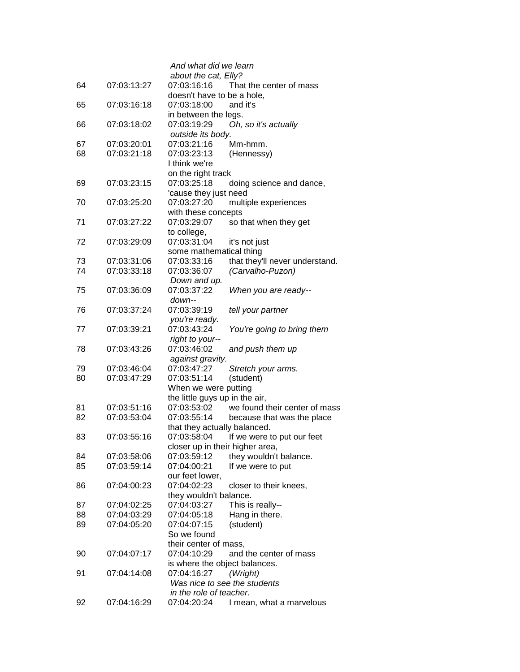|    |             | And what did we learn           |                                |
|----|-------------|---------------------------------|--------------------------------|
|    |             | about the cat, Elly?            |                                |
| 64 | 07:03:13:27 | 07:03:16:16                     | That the center of mass        |
|    |             | doesn't have to be a hole,      |                                |
| 65 | 07:03:16:18 | 07:03:18:00                     | and it's                       |
|    |             | in between the legs.            |                                |
| 66 | 07:03:18:02 | 07:03:19:29                     | Oh, so it's actually           |
|    |             | outside its body.               |                                |
| 67 | 07:03:20:01 | 07:03:21:16                     | Mm-hmm.                        |
| 68 | 07:03:21:18 | 07:03:23:13                     |                                |
|    |             |                                 | (Hennessy)                     |
|    |             | I think we're                   |                                |
|    |             | on the right track              |                                |
| 69 | 07:03:23:15 | 07:03:25:18                     | doing science and dance,       |
|    |             | 'cause they just need           |                                |
| 70 | 07:03:25:20 | 07:03:27:20                     | multiple experiences           |
|    |             | with these concepts             |                                |
| 71 | 07:03:27:22 | 07:03:29:07                     | so that when they get          |
|    |             | to college,                     |                                |
| 72 | 07:03:29:09 | 07:03:31:04                     | it's not just                  |
|    |             | some mathematical thing         |                                |
| 73 | 07:03:31:06 | 07:03:33:16                     | that they'll never understand. |
| 74 | 07:03:33:18 | 07:03:36:07                     | (Carvalho-Puzon)               |
|    |             | Down and up.                    |                                |
| 75 | 07:03:36:09 | 07:03:37:22                     | When you are ready--           |
|    |             | down--                          |                                |
| 76 | 07:03:37:24 | 07:03:39:19                     | tell your partner              |
|    |             |                                 |                                |
|    |             | you're ready.                   |                                |
| 77 | 07:03:39:21 | 07:03:43:24                     | You're going to bring them     |
|    |             | right to your--                 |                                |
| 78 | 07:03:43:26 | 07:03:46:02                     | and push them up               |
|    |             | against gravity.                |                                |
| 79 | 07:03:46:04 | 07:03:47:27                     | Stretch your arms.             |
| 80 | 07:03:47:29 | 07:03:51:14                     | (student)                      |
|    |             | When we were putting            |                                |
|    |             | the little guys up in the air,  |                                |
| 81 | 07:03:51:16 | 07:03:53:02                     | we found their center of mass  |
| 82 | 07:03:53:04 | 07:03:55:14                     | because that was the place     |
|    |             | that they actually balanced.    |                                |
| 83 | 07:03:55:16 | 07:03:58:04                     | If we were to put our feet     |
|    |             | closer up in their higher area, |                                |
| 84 | 07:03:58:06 | 07:03:59:12                     | they wouldn't balance.         |
| 85 | 07:03:59:14 | 07:04:00:21                     | If we were to put              |
|    |             | our feet lower,                 |                                |
| 86 | 07:04:00:23 | 07:04:02:23                     | closer to their knees,         |
|    |             | they wouldn't balance.          |                                |
|    |             |                                 |                                |
| 87 | 07:04:02:25 | 07:04:03:27                     | This is really--               |
| 88 | 07:04:03:29 | 07:04:05:18                     | Hang in there.                 |
| 89 | 07:04:05:20 | 07:04:07:15                     | (student)                      |
|    |             | So we found                     |                                |
|    |             | their center of mass,           |                                |
| 90 | 07:04:07:17 | 07:04:10:29                     | and the center of mass         |
|    |             | is where the object balances.   |                                |
| 91 | 07:04:14:08 | 07:04:16:27                     | (Wright)                       |
|    |             | Was nice to see the students    |                                |
|    |             | in the role of teacher.         |                                |
| 92 | 07:04:16:29 | 07:04:20:24                     | I mean, what a marvelous       |
|    |             |                                 |                                |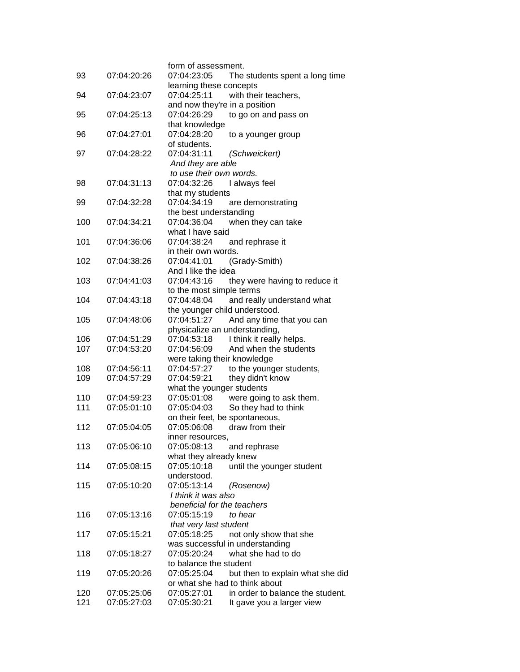|     |             | form of assessment.                     |                                  |
|-----|-------------|-----------------------------------------|----------------------------------|
| 93  | 07:04:20:26 | 07:04:23:05                             | The students spent a long time   |
|     | 07:04:23:07 | learning these concepts<br>07:04:25:11  | with their teachers,             |
| 94  |             | and now they're in a position           |                                  |
| 95  | 07:04:25:13 | 07:04:26:29                             | to go on and pass on             |
|     |             | that knowledge                          |                                  |
| 96  | 07:04:27:01 | 07:04:28:20                             | to a younger group               |
|     |             | of students.                            |                                  |
| 97  | 07:04:28:22 | 07:04:31:11<br>(Schweickert)            |                                  |
|     |             | And they are able                       |                                  |
|     |             | to use their own words.                 |                                  |
| 98  | 07:04:31:13 | 07:04:32:26<br>I always feel            |                                  |
|     |             | that my students                        |                                  |
| 99  | 07:04:32:28 | 07:04:34:19                             | are demonstrating                |
|     |             | the best understanding                  |                                  |
| 100 | 07:04:34:21 | 07:04:36:04                             | when they can take               |
|     |             | what I have said                        |                                  |
| 101 | 07:04:36:06 | 07:04:38:24<br>and rephrase it          |                                  |
|     |             | in their own words.                     |                                  |
| 102 | 07:04:38:26 | 07:04:41:01<br>(Grady-Smith)            |                                  |
| 103 |             | And I like the idea                     |                                  |
|     | 07:04:41:03 | 07:04:43:16<br>to the most simple terms | they were having to reduce it    |
| 104 | 07:04:43:18 | 07:04:48:04                             | and really understand what       |
|     |             | the younger child understood.           |                                  |
| 105 | 07:04:48:06 | 07:04:51:27                             | And any time that you can        |
|     |             | physicalize an understanding,           |                                  |
| 106 | 07:04:51:29 | 07:04:53:18                             | I think it really helps.         |
| 107 | 07:04:53:20 | 07:04:56:09                             | And when the students            |
|     |             | were taking their knowledge             |                                  |
| 108 | 07:04:56:11 | 07:04:57:27                             | to the younger students,         |
| 109 | 07:04:57:29 | 07:04:59:21<br>they didn't know         |                                  |
|     |             | what the younger students               |                                  |
| 110 | 07:04:59:23 | 07:05:01:08                             | were going to ask them.          |
| 111 | 07:05:01:10 | 07:05:04:03                             | So they had to think             |
|     |             | on their feet, be spontaneous,          |                                  |
| 112 | 07:05:04:05 | draw from their<br>07:05:06:08          |                                  |
|     |             | inner resources,                        |                                  |
| 113 | 07:05:06:10 | 07:05:08:13<br>and rephrase             |                                  |
| 114 |             | what they already knew<br>07:05:10:18   |                                  |
|     | 07:05:08:15 | understood.                             | until the younger student        |
| 115 | 07:05:10:20 | 07:05:13:14<br>(Rosenow)                |                                  |
|     |             | I think it was also                     |                                  |
|     |             | beneficial for the teachers             |                                  |
| 116 | 07:05:13:16 | 07:05:15:19<br>to hear                  |                                  |
|     |             | that very last student                  |                                  |
| 117 | 07:05:15:21 | 07:05:18:25                             | not only show that she           |
|     |             | was successful in understanding         |                                  |
| 118 | 07:05:18:27 | 07:05:20:24                             | what she had to do               |
|     |             | to balance the student                  |                                  |
| 119 | 07:05:20:26 | 07:05:25:04                             | but then to explain what she did |
|     |             | or what she had to think about          |                                  |
| 120 | 07:05:25:06 | 07:05:27:01                             | in order to balance the student. |
| 121 | 07:05:27:03 | 07:05:30:21                             | It gave you a larger view        |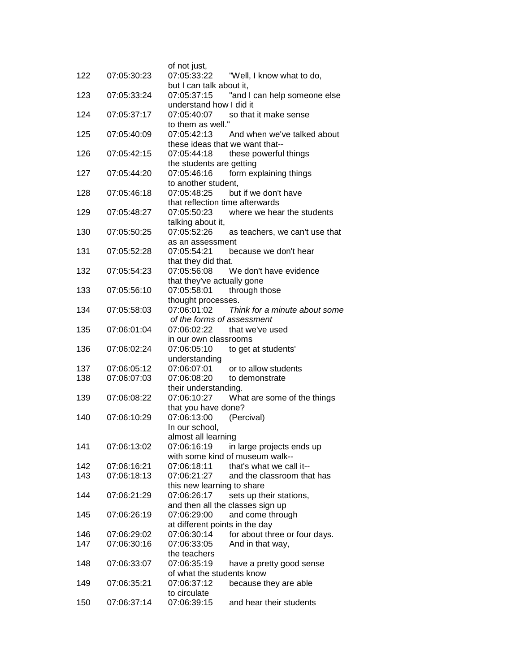| 122 | 07:05:30:23 | of not just,<br>07:05:33:22                    | "Well, I know what to do,                                   |
|-----|-------------|------------------------------------------------|-------------------------------------------------------------|
| 123 | 07:05:33:24 | but I can talk about it,<br>07:05:37:15        | "and I can help someone else                                |
|     |             | understand how I did it                        |                                                             |
| 124 | 07:05:37:17 | 07:05:40:07<br>to them as well."               | so that it make sense                                       |
| 125 | 07:05:40:09 | 07:05:42:13<br>these ideas that we want that-- | And when we've talked about                                 |
| 126 | 07:05:42:15 | 07:05:44:18                                    | these powerful things                                       |
| 127 | 07:05:44:20 | the students are getting<br>07:05:46:16        | form explaining things                                      |
| 128 | 07:05:46:18 | to another student,<br>07:05:48:25             | but if we don't have                                        |
|     |             | that reflection time afterwards                |                                                             |
| 129 | 07:05:48:27 | 07:05:50:23<br>talking about it,               | where we hear the students                                  |
| 130 | 07:05:50:25 | 07:05:52:26                                    | as teachers, we can't use that                              |
| 131 | 07:05:52:28 | as an assessment<br>07:05:54:21                | because we don't hear                                       |
|     |             | that they did that.                            |                                                             |
| 132 | 07:05:54:23 | 07:05:56:08                                    | We don't have evidence                                      |
|     |             | that they've actually gone                     |                                                             |
| 133 | 07:05:56:10 | 07:05:58:01                                    | through those                                               |
| 134 | 07:05:58:03 | thought processes.<br>07:06:01:02              | Think for a minute about some                               |
|     |             | of the forms of assessment                     |                                                             |
| 135 | 07:06:01:04 | 07:06:02:22                                    | that we've used                                             |
|     |             | in our own classrooms                          |                                                             |
| 136 | 07:06:02:24 | 07:06:05:10<br>understanding                   | to get at students'                                         |
| 137 | 07:06:05:12 | 07:06:07:01                                    | or to allow students                                        |
| 138 | 07:06:07:03 | 07:06:08:20                                    | to demonstrate                                              |
|     |             | their understanding.                           |                                                             |
| 139 | 07:06:08:22 | 07:06:10:27                                    | What are some of the things                                 |
| 140 | 07:06:10:29 | that you have done?<br>07:06:13:00             | (Percival)                                                  |
|     |             | In our school,                                 |                                                             |
|     |             | almost all learning                            |                                                             |
| 141 | 07:06:13:02 | 07:06:16:19                                    | in large projects ends up                                   |
|     |             |                                                | with some kind of museum walk--                             |
| 142 | 07:06:16:21 | 07:06:18:11                                    | that's what we call it--                                    |
| 143 | 07:06:18:13 | 07:06:21:27                                    | and the classroom that has                                  |
|     |             | this new learning to share                     |                                                             |
| 144 | 07:06:21:29 | 07:06:26:17                                    | sets up their stations,<br>and then all the classes sign up |
| 145 | 07:06:26:19 | 07:06:29:00                                    | and come through                                            |
|     |             | at different points in the day                 |                                                             |
| 146 | 07:06:29:02 | 07:06:30:14                                    | for about three or four days.                               |
| 147 | 07:06:30:16 | 07:06:33:05                                    | And in that way,                                            |
|     |             | the teachers                                   |                                                             |
| 148 | 07:06:33:07 | 07:06:35:19                                    | have a pretty good sense                                    |
|     |             | of what the students know                      |                                                             |
| 149 | 07:06:35:21 | 07:06:37:12<br>to circulate                    | because they are able                                       |
| 150 | 07:06:37:14 | 07:06:39:15                                    | and hear their students                                     |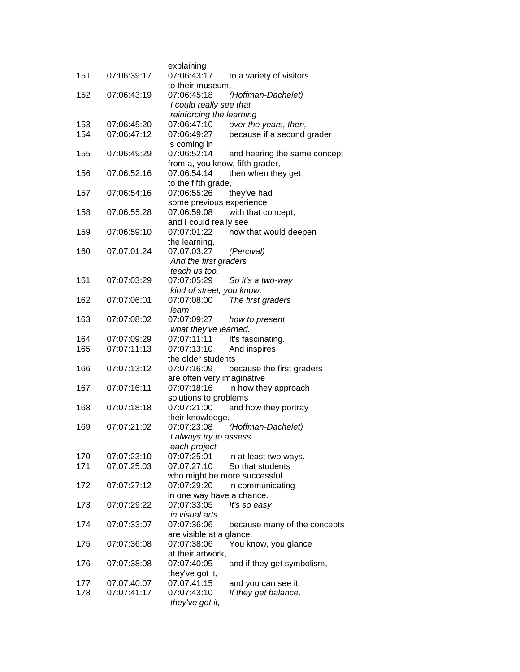| 151 | 07:06:39:17 | explaining<br>07:06:43:17                      |                              |
|-----|-------------|------------------------------------------------|------------------------------|
|     |             | to their museum.                               | to a variety of visitors     |
| 152 | 07:06:43:19 | 07:06:45:18                                    | (Hoffman-Dachelet)           |
|     |             | I could really see that                        |                              |
|     |             | reinforcing the learning                       |                              |
| 153 | 07:06:45:20 | 07:06:47:10                                    | over the years, then,        |
| 154 | 07:06:47:12 | 07:06:49:27                                    | because if a second grader   |
|     |             | is coming in                                   |                              |
| 155 | 07:06:49:29 | 07:06:52:14                                    | and hearing the same concept |
| 156 | 07:06:52:16 | from a, you know, fifth grader,<br>07:06:54:14 |                              |
|     |             | to the fifth grade,                            | then when they get           |
| 157 | 07:06:54:16 | 07:06:55:26                                    | they've had                  |
|     |             | some previous experience                       |                              |
| 158 | 07:06:55:28 | 07:06:59:08                                    | with that concept,           |
|     |             | and I could really see                         |                              |
| 159 | 07:06:59:10 | 07:07:01:22                                    | how that would deepen        |
|     |             | the learning.                                  |                              |
| 160 | 07:07:01:24 | 07:07:03:27                                    | (Percival)                   |
|     |             | And the first graders                          |                              |
|     |             | teach us too.                                  |                              |
| 161 | 07:07:03:29 | 07:07:05:29<br>kind of street, you know.       | So it's a two-way            |
| 162 | 07:07:06:01 | 07:07:08:00                                    | The first graders            |
|     |             | learn                                          |                              |
| 163 | 07:07:08:02 | 07:07:09:27                                    | how to present               |
|     |             | what they've learned.                          |                              |
| 164 | 07:07:09:29 | 07:07:11:11                                    | It's fascinating.            |
| 165 | 07:07:11:13 | 07:07:13:10                                    | And inspires                 |
|     |             | the older students                             |                              |
| 166 | 07:07:13:12 | 07:07:16:09                                    | because the first graders    |
|     |             | are often very imaginative                     |                              |
| 167 | 07:07:16:11 | 07:07:18:16<br>solutions to problems           | in how they approach         |
| 168 | 07:07:18:18 | 07:07:21:00                                    | and how they portray         |
|     |             | their knowledge.                               |                              |
| 169 | 07:07:21:02 | 07:07:23:08                                    | (Hoffman-Dachelet)           |
|     |             | I always try to assess                         |                              |
|     |             | each project                                   |                              |
| 170 | 07:07:23:10 | 07:07:25:01                                    | in at least two ways.        |
| 171 | 07:07:25:03 | 07:07:27:10                                    | So that students             |
|     |             | who might be more successful                   |                              |
| 172 | 07:07:27:12 | 07:07:29:20                                    | in communicating             |
| 173 | 07:07:29:22 | in one way have a chance.<br>07:07:33:05       | It's so easy                 |
|     |             | in visual arts                                 |                              |
| 174 | 07:07:33:07 | 07:07:36:06                                    | because many of the concepts |
|     |             | are visible at a glance.                       |                              |
| 175 | 07:07:36:08 | 07:07:38:06                                    | You know, you glance         |
|     |             | at their artwork,                              |                              |
| 176 | 07:07:38:08 | 07:07:40:05                                    | and if they get symbolism,   |
|     |             | they've got it,                                |                              |
| 177 | 07:07:40:07 | 07:07:41:15                                    | and you can see it.          |
| 178 | 07:07:41:17 | 07:07:43:10                                    | If they get balance,         |
|     |             | they've got it,                                |                              |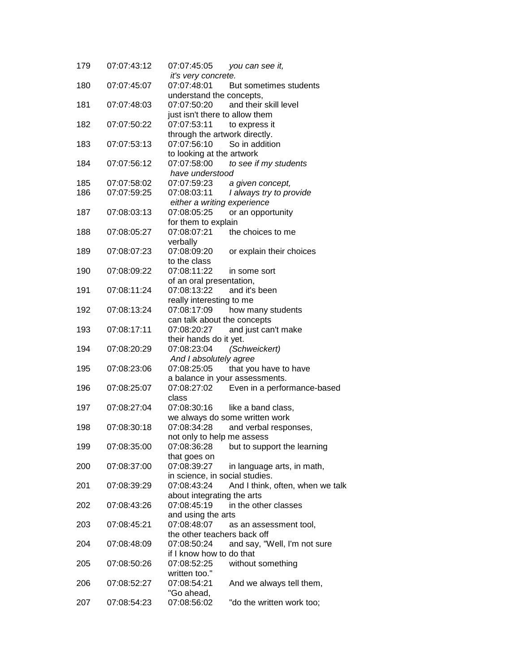| 179 | 07:07:43:12 | 07:07:45:05                    | you can see it,                  |
|-----|-------------|--------------------------------|----------------------------------|
|     |             | it's very concrete.            |                                  |
| 180 | 07:07:45:07 | 07:07:48:01                    | But sometimes students           |
|     |             | understand the concepts,       |                                  |
| 181 | 07:07:48:03 | 07:07:50:20                    | and their skill level            |
|     |             | just isn't there to allow them |                                  |
| 182 | 07:07:50:22 | 07:07:53:11                    | to express it                    |
|     |             | through the artwork directly.  |                                  |
| 183 | 07:07:53:13 | 07:07:56:10                    | So in addition                   |
|     |             | to looking at the artwork      |                                  |
| 184 | 07:07:56:12 | 07:07:58:00                    | to see if my students            |
|     |             | have understood                |                                  |
| 185 | 07:07:58:02 | 07:07:59:23                    | a given concept,                 |
| 186 | 07:07:59:25 | 07:08:03:11                    | I always try to provide          |
|     |             | either a writing experience    |                                  |
| 187 | 07:08:03:13 | 07:08:05:25                    | or an opportunity                |
|     |             | for them to explain            |                                  |
| 188 | 07:08:05:27 | 07:08:07:21                    | the choices to me                |
|     |             | verbally                       |                                  |
| 189 | 07:08:07:23 | 07:08:09:20                    | or explain their choices         |
|     |             | to the class                   |                                  |
| 190 | 07:08:09:22 | 07:08:11:22                    | in some sort                     |
|     |             | of an oral presentation,       |                                  |
| 191 | 07:08:11:24 | 07:08:13:22                    | and it's been                    |
|     |             | really interesting to me       |                                  |
| 192 | 07:08:13:24 | 07:08:17:09                    | how many students                |
|     |             | can talk about the concepts    |                                  |
| 193 | 07:08:17:11 | 07:08:20:27                    | and just can't make              |
|     |             | their hands do it yet.         |                                  |
| 194 | 07:08:20:29 | 07:08:23:04                    | (Schweickert)                    |
|     |             | And I absolutely agree         |                                  |
| 195 | 07:08:23:06 | 07:08:25:05                    | that you have to have            |
|     |             |                                | a balance in your assessments.   |
| 196 | 07:08:25:07 | 07:08:27:02                    | Even in a performance-based      |
|     |             | class                          |                                  |
| 197 | 07:08:27:04 | 07:08:30:16                    | like a band class,               |
|     |             |                                | we always do some written work   |
| 198 | 07:08:30:18 | 07:08:34:28                    | and verbal responses,            |
|     |             | not only to help me assess     |                                  |
| 199 | 07:08:35:00 | 07:08:36:28                    | but to support the learning      |
|     |             | that goes on                   |                                  |
| 200 | 07:08:37:00 | 07:08:39:27                    | in language arts, in math,       |
|     |             | in science, in social studies. |                                  |
| 201 | 07:08:39:29 | 07:08:43:24                    | And I think, often, when we talk |
|     |             | about integrating the arts     |                                  |
| 202 | 07:08:43:26 | 07:08:45:19                    | in the other classes             |
|     |             | and using the arts             |                                  |
| 203 | 07:08:45:21 | 07:08:48:07                    | as an assessment tool,           |
|     |             | the other teachers back off    |                                  |
| 204 | 07:08:48:09 | 07:08:50:24                    | and say, "Well, I'm not sure     |
|     |             | if I know how to do that       |                                  |
| 205 | 07:08:50:26 | 07:08:52:25                    | without something                |
|     |             | written too."                  |                                  |
| 206 | 07:08:52:27 | 07:08:54:21                    | And we always tell them,         |
|     |             | "Go ahead,                     |                                  |
| 207 | 07:08:54:23 | 07:08:56:02                    | "do the written work too;        |
|     |             |                                |                                  |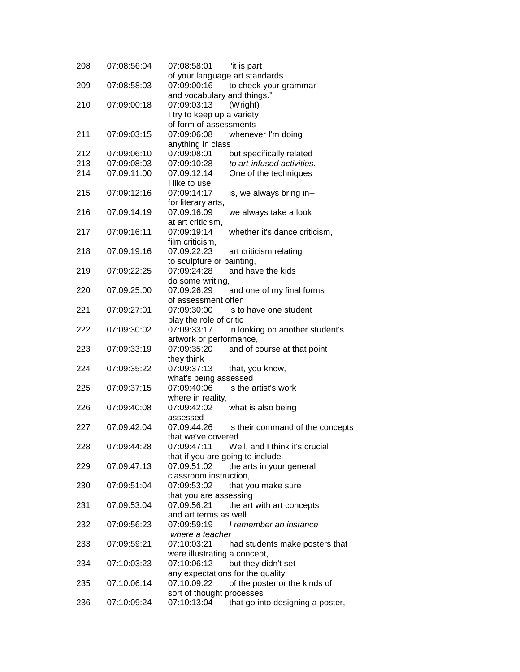| to check your grammar<br>but specifically related<br>to art-infused activities.<br>One of the techniques |
|----------------------------------------------------------------------------------------------------------|
|                                                                                                          |
|                                                                                                          |
|                                                                                                          |
|                                                                                                          |
|                                                                                                          |
|                                                                                                          |
|                                                                                                          |
|                                                                                                          |
|                                                                                                          |
|                                                                                                          |
|                                                                                                          |
|                                                                                                          |
|                                                                                                          |
| is, we always bring in--                                                                                 |
|                                                                                                          |
| we always take a look                                                                                    |
|                                                                                                          |
| whether it's dance criticism,                                                                            |
|                                                                                                          |
|                                                                                                          |
|                                                                                                          |
|                                                                                                          |
|                                                                                                          |
|                                                                                                          |
| and one of my final forms                                                                                |
|                                                                                                          |
| is to have one student                                                                                   |
|                                                                                                          |
| in looking on another student's                                                                          |
|                                                                                                          |
| and of course at that point                                                                              |
|                                                                                                          |
|                                                                                                          |
|                                                                                                          |
|                                                                                                          |
|                                                                                                          |
|                                                                                                          |
|                                                                                                          |
|                                                                                                          |
| is their command of the concepts                                                                         |
|                                                                                                          |
| Well, and I think it's crucial                                                                           |
|                                                                                                          |
|                                                                                                          |
| the arts in your general                                                                                 |
|                                                                                                          |
|                                                                                                          |
|                                                                                                          |
| the art with art concepts                                                                                |
|                                                                                                          |
| I remember an instance                                                                                   |
|                                                                                                          |
| had students make posters that                                                                           |
|                                                                                                          |
|                                                                                                          |
|                                                                                                          |
|                                                                                                          |
|                                                                                                          |
| of the poster or the kinds of                                                                            |
| that go into designing a poster,                                                                         |
|                                                                                                          |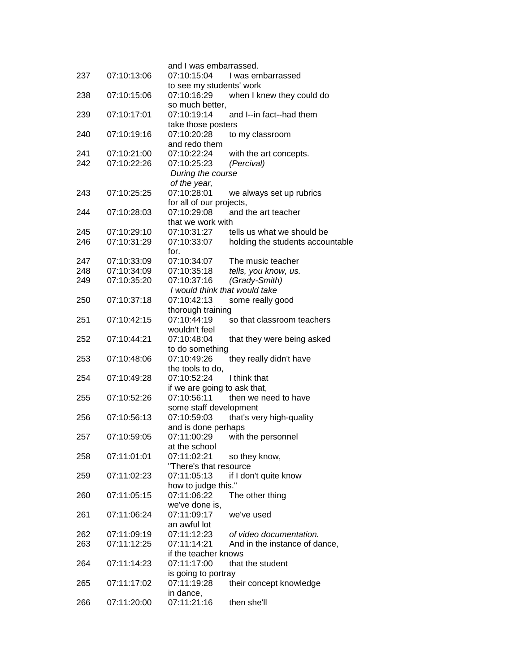|     |             | and I was embarrassed.            |                                  |
|-----|-------------|-----------------------------------|----------------------------------|
| 237 | 07:10:13:06 | 07:10:15:04                       | I was embarrassed                |
|     |             | to see my students' work          |                                  |
| 238 | 07:10:15:06 | 07:10:16:29                       | when I knew they could do        |
|     |             | so much better,<br>07:10:19:14    |                                  |
| 239 | 07:10:17:01 |                                   | and I--in fact--had them         |
| 240 | 07:10:19:16 | take those posters<br>07:10:20:28 | to my classroom                  |
|     |             | and redo them                     |                                  |
| 241 | 07:10:21:00 | 07:10:22:24                       | with the art concepts.           |
| 242 | 07:10:22:26 | 07:10:25:23                       | (Percival)                       |
|     |             | During the course                 |                                  |
|     |             | of the year,                      |                                  |
| 243 | 07:10:25:25 | 07:10:28:01                       | we always set up rubrics         |
|     |             | for all of our projects,          |                                  |
| 244 | 07:10:28:03 | 07:10:29:08                       | and the art teacher              |
|     |             | that we work with                 |                                  |
| 245 | 07:10:29:10 | 07:10:31:27                       | tells us what we should be       |
| 246 | 07:10:31:29 | 07:10:33:07                       | holding the students accountable |
|     |             | for.                              |                                  |
| 247 | 07:10:33:09 | 07:10:34:07                       | The music teacher                |
| 248 | 07:10:34:09 | 07:10:35:18                       | tells, you know, us.             |
| 249 | 07:10:35:20 | 07:10:37:16                       | (Grady-Smith)                    |
|     |             | I would think that would take     |                                  |
| 250 | 07:10:37:18 | 07:10:42:13                       | some really good                 |
|     |             | thorough training                 |                                  |
| 251 | 07:10:42:15 | 07:10:44:19                       | so that classroom teachers       |
|     |             | wouldn't feel                     |                                  |
| 252 | 07:10:44:21 | 07:10:48:04                       | that they were being asked       |
|     |             | to do something                   |                                  |
| 253 | 07:10:48:06 | 07:10:49:26                       | they really didn't have          |
|     |             | the tools to do,                  |                                  |
| 254 | 07:10:49:28 | 07:10:52:24                       | I think that                     |
|     |             | if we are going to ask that,      |                                  |
| 255 | 07:10:52:26 | 07:10:56:11                       | then we need to have             |
|     |             | some staff development            |                                  |
| 256 | 07:10:56:13 | 07:10:59:03                       | that's very high-quality         |
|     |             | and is done perhaps               |                                  |
| 257 | 07:10:59:05 |                                   | 07:11:00:29 with the personnel   |
|     |             | at the school                     |                                  |
| 258 | 07:11:01:01 | 07:11:02:21                       | so they know,                    |
|     |             | "There's that resource            |                                  |
| 259 | 07:11:02:23 | 07:11:05:13                       | if I don't quite know            |
|     |             | how to judge this."               |                                  |
| 260 | 07:11:05:15 | 07:11:06:22                       | The other thing                  |
|     |             | we've done is,                    | we've used                       |
| 261 | 07:11:06:24 | 07:11:09:17<br>an awful lot       |                                  |
| 262 | 07:11:09:19 | 07:11:12:23                       | of video documentation.          |
| 263 | 07:11:12:25 | 07:11:14:21                       | And in the instance of dance,    |
|     |             | if the teacher knows              |                                  |
| 264 | 07:11:14:23 | 07:11:17:00                       | that the student                 |
|     |             | is going to portray               |                                  |
| 265 | 07:11:17:02 | 07:11:19:28                       | their concept knowledge          |
|     |             | in dance,                         |                                  |
| 266 | 07:11:20:00 | 07:11:21:16                       | then she'll                      |
|     |             |                                   |                                  |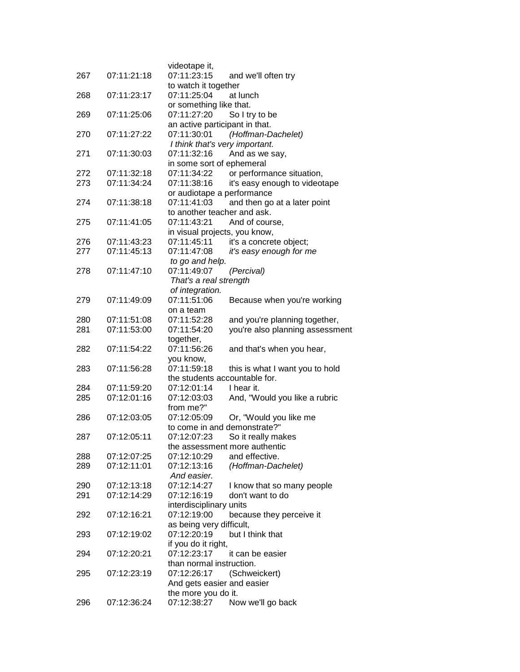| 267 | 07:11:21:18 | videotape it,<br>07:11:23:15<br>and we'll often try |
|-----|-------------|-----------------------------------------------------|
|     |             | to watch it together                                |
| 268 | 07:11:23:17 | 07:11:25:04<br>at lunch                             |
|     |             | or something like that.                             |
| 269 | 07:11:25:06 | 07:11:27:20<br>So I try to be                       |
|     |             | an active participant in that.                      |
| 270 | 07:11:27:22 | 07:11:30:01<br>(Hoffman-Dachelet)                   |
|     |             | I think that's very important.                      |
| 271 | 07:11:30:03 | 07:11:32:16<br>And as we say,                       |
|     |             | in some sort of ephemeral                           |
| 272 | 07:11:32:18 | 07:11:34:22<br>or performance situation,            |
| 273 | 07:11:34:24 | 07:11:38:16<br>it's easy enough to videotape        |
|     |             | or audiotape a performance                          |
| 274 | 07:11:38:18 | 07:11:41:03<br>and then go at a later point         |
|     |             | to another teacher and ask.                         |
| 275 | 07:11:41:05 | 07:11:43:21<br>And of course,                       |
|     |             | in visual projects, you know,                       |
| 276 | 07:11:43:23 | 07:11:45:11<br>it's a concrete object;              |
| 277 | 07:11:45:13 | 07:11:47:08<br>it's easy enough for me              |
|     |             | to go and help.                                     |
| 278 | 07:11:47:10 | 07:11:49:07<br>(Percival)                           |
|     |             | That's a real strength                              |
|     |             | of integration.                                     |
| 279 | 07:11:49:09 | 07:11:51:06<br>Because when you're working          |
|     |             | on a team                                           |
| 280 | 07:11:51:08 | 07:11:52:28<br>and you're planning together,        |
| 281 | 07:11:53:00 | 07:11:54:20<br>you're also planning assessment      |
|     |             | together,                                           |
| 282 | 07:11:54:22 | 07:11:56:26<br>and that's when you hear,            |
|     |             | you know,                                           |
| 283 | 07:11:56:28 | 07:11:59:18<br>this is what I want you to hold      |
|     |             | the students accountable for.                       |
| 284 | 07:11:59:20 | 07:12:01:14<br>I hear it.                           |
| 285 | 07:12:01:16 | 07:12:03:03<br>And, "Would you like a rubric        |
|     |             | from me?"                                           |
| 286 | 07:12:03:05 | 07:12:05:09<br>Or, "Would you like me               |
|     |             | to come in and demonstrate?"                        |
| 287 | 07:12:05:11 | 07:12:07:23<br>So it really makes                   |
|     |             | the assessment more authentic                       |
| 288 | 07:12:07:25 | and effective.<br>07:12:10:29                       |
| 289 | 07:12:11:01 | (Hoffman-Dachelet)<br>07:12:13:16                   |
|     |             | And easier.                                         |
| 290 | 07:12:13:18 | 07:12:14:27<br>I know that so many people           |
| 291 | 07:12:14:29 | 07:12:16:19<br>don't want to do                     |
|     |             | interdisciplinary units                             |
| 292 | 07:12:16:21 | 07:12:19:00<br>because they perceive it             |
|     |             | as being very difficult,                            |
| 293 | 07:12:19:02 | 07:12:20:19<br>but I think that                     |
|     |             | if you do it right,                                 |
| 294 | 07:12:20:21 | 07:12:23:17<br>it can be easier                     |
|     |             | than normal instruction.                            |
| 295 | 07:12:23:19 | 07:12:26:17<br>(Schweickert)                        |
|     |             | And gets easier and easier                          |
|     |             | the more you do it.                                 |
| 296 | 07:12:36:24 | 07:12:38:27<br>Now we'll go back                    |
|     |             |                                                     |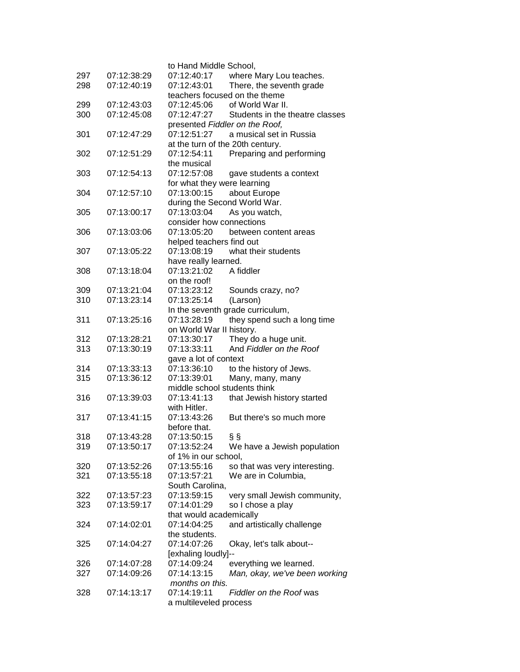|            |                            | to Hand Middle School,           |                                 |
|------------|----------------------------|----------------------------------|---------------------------------|
| 297        | 07:12:38:29                | 07:12:40:17                      | where Mary Lou teaches.         |
| 298        | 07:12:40:19                | 07:12:43:01                      | There, the seventh grade        |
|            |                            | teachers focused on the theme    |                                 |
| 299        | 07:12:43:03                | 07:12:45:06                      | of World War II.                |
| 300        | 07:12:45:08                | 07:12:47:27                      | Students in the theatre classes |
|            |                            | presented Fiddler on the Roof,   |                                 |
| 301        | 07:12:47:29                | 07:12:51:27                      | a musical set in Russia         |
|            |                            | at the turn of the 20th century. |                                 |
| 302        | 07:12:51:29                | 07:12:54:11                      | Preparing and performing        |
|            |                            | the musical                      |                                 |
| 303        | 07:12:54:13                | 07:12:57:08                      | gave students a context         |
|            |                            | for what they were learning      |                                 |
|            | 07:12:57:10                | 07:13:00:15                      | about Europe                    |
| 304        |                            |                                  |                                 |
|            |                            | during the Second World War.     |                                 |
| 305        | 07:13:00:17                | 07:13:03:04                      | As you watch,                   |
|            |                            | consider how connections         |                                 |
| 306        | 07:13:03:06                | 07:13:05:20                      | between content areas           |
|            |                            | helped teachers find out         |                                 |
| 307        | 07:13:05:22                | 07:13:08:19                      | what their students             |
|            |                            | have really learned.             |                                 |
| 308        | 07:13:18:04                | 07:13:21:02                      | A fiddler                       |
|            |                            | on the roof!                     |                                 |
| 309        | 07:13:21:04                | 07:13:23:12                      | Sounds crazy, no?               |
| 310        | 07:13:23:14                | 07:13:25:14                      | (Larson)                        |
|            |                            | In the seventh grade curriculum, |                                 |
| 311        | 07:13:25:16                | 07:13:28:19                      | they spend such a long time     |
|            |                            | on World War II history.         |                                 |
| 312        | 07:13:28:21                | 07:13:30:17                      | They do a huge unit.            |
| 313        | 07:13:30:19                | 07:13:33:11                      | And Fiddler on the Roof         |
|            |                            | gave a lot of context            |                                 |
|            |                            | 07:13:36:10                      |                                 |
| 314<br>315 | 07:13:33:13<br>07:13:36:12 | 07:13:39:01                      | to the history of Jews.         |
|            |                            | middle school students think     | Many, many, many                |
|            |                            |                                  |                                 |
| 316        | 07:13:39:03                | 07:13:41:13                      | that Jewish history started     |
|            |                            | with Hitler.                     |                                 |
| 317        | 07:13:41:15                | 07:13:43:26                      | But there's so much more        |
|            |                            | before that.                     |                                 |
| 318        | 07:13:43:28                | 07:13:50:15                      | §§                              |
| 319        | 07:13:50:17                | 07:13:52:24                      | We have a Jewish population     |
|            |                            | of 1% in our school,             |                                 |
| 320        | 07:13:52:26                | 07:13:55:16                      | so that was very interesting.   |
| 321        | 07:13:55:18                | 07:13:57:21                      | We are in Columbia,             |
|            |                            | South Carolina,                  |                                 |
| 322        | 07:13:57:23                | 07:13:59:15                      | very small Jewish community,    |
| 323        | 07:13:59:17                | 07:14:01:29                      | so I chose a play               |
|            |                            | that would academically          |                                 |
| 324        | 07:14:02:01                | 07:14:04:25                      | and artistically challenge      |
|            |                            | the students.                    |                                 |
| 325        | 07:14:04:27                | 07:14:07:26                      | Okay, let's talk about--        |
|            |                            |                                  |                                 |
|            |                            | [exhaling loudly]--              |                                 |
| 326        | 07:14:07:28                | 07:14:09:24                      | everything we learned.          |
| 327        | 07:14:09:26                | 07:14:13:15                      | Man, okay, we've been working   |
|            |                            | months on this.                  |                                 |
| 328        | 07:14:13:17                | 07:14:19:11                      | <b>Fiddler on the Roof was</b>  |
|            |                            | a multileveled process           |                                 |
|            |                            |                                  |                                 |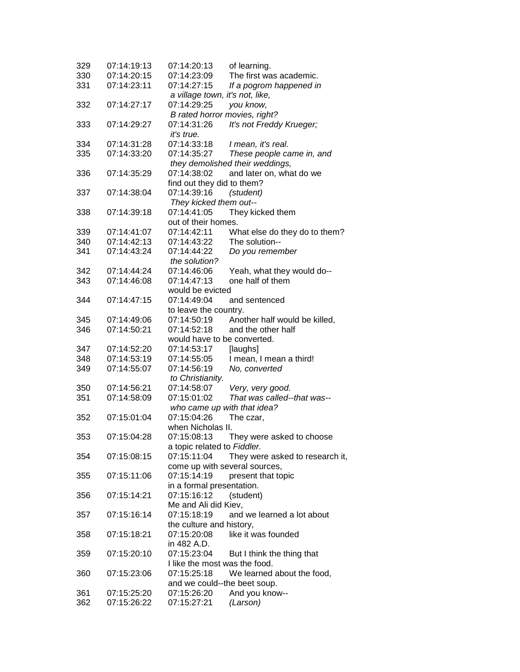| 329 | 07:14:19:13 | 07:14:20:13                     | of learning.                    |
|-----|-------------|---------------------------------|---------------------------------|
| 330 | 07:14:20:15 | 07:14:23:09                     | The first was academic.         |
| 331 | 07:14:23:11 | 07:14:27:15                     | If a pogrom happened in         |
|     |             | a village town, it's not, like, |                                 |
| 332 | 07:14:27:17 | 07:14:29:25                     | you know,                       |
|     |             | B rated horror movies, right?   |                                 |
| 333 | 07:14:29:27 | 07:14:31:26                     | It's not Freddy Krueger;        |
|     |             | <i>it's true.</i>               |                                 |
| 334 | 07:14:31:28 | 07:14:33:18                     | I mean, it's real.              |
| 335 | 07:14:33:20 | 07:14:35:27                     | These people came in, and       |
|     |             |                                 | they demolished their weddings, |
| 336 | 07:14:35:29 | 07:14:38:02                     | and later on, what do we        |
|     |             |                                 |                                 |
|     |             | find out they did to them?      |                                 |
| 337 | 07:14:38:04 | 07:14:39:16                     | (student)                       |
|     |             | They kicked them out--          |                                 |
| 338 | 07:14:39:18 | 07:14:41:05                     | They kicked them                |
|     |             | out of their homes.             |                                 |
| 339 | 07:14:41:07 | 07:14:42:11                     | What else do they do to them?   |
| 340 | 07:14:42:13 | 07:14:43:22                     | The solution--                  |
| 341 | 07:14:43:24 | 07:14:44:22                     | Do you remember                 |
|     |             | the solution?                   |                                 |
| 342 | 07:14:44:24 | 07:14:46:06                     | Yeah, what they would do--      |
| 343 | 07:14:46:08 | 07:14:47:13                     | one half of them                |
|     |             | would be evicted                |                                 |
| 344 | 07:14:47:15 | 07:14:49:04                     | and sentenced                   |
|     |             | to leave the country.           |                                 |
| 345 | 07:14:49:06 | 07:14:50:19                     | Another half would be killed,   |
| 346 | 07:14:50:21 | 07:14:52:18                     | and the other half              |
|     |             | would have to be converted.     |                                 |
| 347 | 07:14:52:20 | 07:14:53:17                     | [laughs]                        |
| 348 | 07:14:53:19 | 07:14:55:05                     | I mean, I mean a third!         |
| 349 | 07:14:55:07 | 07:14:56:19                     | No, converted                   |
|     |             | to Christianity.                |                                 |
| 350 | 07:14:56:21 | 07:14:58:07                     | Very, very good.                |
| 351 | 07:14:58:09 | 07:15:01:02                     | That was called--that was--     |
|     |             | who came up with that idea?     |                                 |
|     |             |                                 |                                 |
| 352 | 07:15:01:04 | 07:15:04:26                     | The czar,                       |
|     |             | when Nicholas II.               |                                 |
| 353 | 07:15:04:28 | 07:15:08:13                     | They were asked to choose       |
|     |             | a topic related to Fiddler.     |                                 |
| 354 | 07:15:08:15 | 07:15:11:04                     | They were asked to research it, |
|     |             | come up with several sources,   |                                 |
| 355 | 07:15:11:06 | 07:15:14:19                     | present that topic              |
|     |             | in a formal presentation.       |                                 |
| 356 | 07:15:14:21 | 07:15:16:12                     | (student)                       |
|     |             | Me and Ali did Kiev,            |                                 |
| 357 | 07:15:16:14 | 07:15:18:19                     | and we learned a lot about      |
|     |             | the culture and history,        |                                 |
| 358 | 07:15:18:21 | 07:15:20:08                     | like it was founded             |
|     |             | in 482 A.D.                     |                                 |
| 359 | 07:15:20:10 | 07:15:23:04                     | But I think the thing that      |
|     |             | I like the most was the food.   |                                 |
| 360 | 07:15:23:06 | 07:15:25:18                     | We learned about the food,      |
|     |             | and we could--the beet soup.    |                                 |
| 361 | 07:15:25:20 | 07:15:26:20                     | And you know--                  |
| 362 | 07:15:26:22 | 07:15:27:21                     | (Larson)                        |
|     |             |                                 |                                 |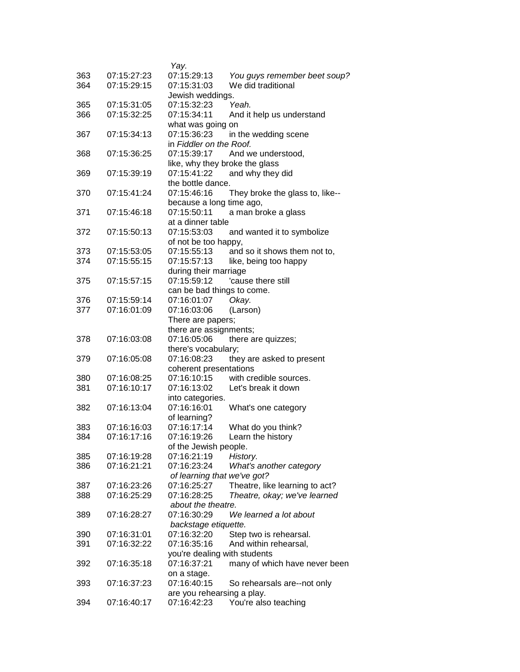| 363 | 07:15:27:23 | Yay.<br>07:15:29:13                   | You guys remember beet soup?    |
|-----|-------------|---------------------------------------|---------------------------------|
| 364 | 07:15:29:15 | 07:15:31:03                           | We did traditional              |
|     |             | Jewish weddings.                      |                                 |
| 365 | 07:15:31:05 | 07:15:32:23                           | Yeah.                           |
| 366 | 07:15:32:25 | 07:15:34:11                           | And it help us understand       |
|     |             | what was going on                     |                                 |
| 367 | 07:15:34:13 | 07:15:36:23                           | in the wedding scene            |
|     |             | in Fiddler on the Roof.               |                                 |
| 368 | 07:15:36:25 | 07:15:39:17                           | And we understood,              |
|     |             | like, why they broke the glass        |                                 |
| 369 | 07:15:39:19 | 07:15:41:22                           | and why they did                |
|     |             | the bottle dance.                     |                                 |
| 370 | 07:15:41:24 | 07:15:46:16                           | They broke the glass to, like-- |
|     |             | because a long time ago,              |                                 |
| 371 | 07:15:46:18 | 07:15:50:11                           | a man broke a glass             |
|     |             | at a dinner table                     |                                 |
| 372 | 07:15:50:13 | 07:15:53:03                           | and wanted it to symbolize      |
|     |             | of not be too happy,                  |                                 |
| 373 | 07:15:53:05 | 07:15:55:13                           | and so it shows them not to,    |
| 374 | 07:15:55:15 | 07:15:57:13                           | like, being too happy           |
|     |             | during their marriage                 |                                 |
| 375 | 07:15:57:15 | 07:15:59:12                           | 'cause there still              |
|     |             | can be bad things to come.            |                                 |
| 376 | 07:15:59:14 | 07:16:01:07                           | Okay.                           |
| 377 | 07:16:01:09 | 07:16:03:06                           | (Larson)                        |
|     |             | There are papers;                     |                                 |
| 378 | 07:16:03:08 | there are assignments;<br>07:16:05:06 | there are quizzes;              |
|     |             | there's vocabulary;                   |                                 |
| 379 | 07:16:05:08 | 07:16:08:23                           | they are asked to present       |
|     |             | coherent presentations                |                                 |
| 380 | 07:16:08:25 | 07:16:10:15                           | with credible sources.          |
| 381 | 07:16:10:17 | 07:16:13:02                           | Let's break it down             |
|     |             | into categories.                      |                                 |
| 382 | 07:16:13:04 | 07:16:16:01                           | What's one category             |
|     |             | of learning?                          |                                 |
| 383 | 07:16:16:03 | 07:16:17:14                           | What do you think?              |
| 384 | 07:16:17:16 | 07:16:19:26                           | Learn the history               |
|     |             | of the Jewish people.                 |                                 |
| 385 | 07:16:19:28 | 07:16:21:19                           | History.                        |
| 386 | 07:16:21:21 | 07:16:23:24                           | What's another category         |
|     |             | of learning that we've got?           |                                 |
| 387 | 07:16:23:26 | 07:16:25:27                           | Theatre, like learning to act?  |
| 388 | 07:16:25:29 | 07:16:28:25                           | Theatre, okay; we've learned    |
|     |             | about the theatre.                    |                                 |
| 389 | 07:16:28:27 | 07:16:30:29                           | We learned a lot about          |
|     |             | backstage etiquette.                  |                                 |
| 390 | 07:16:31:01 | 07:16:32:20                           | Step two is rehearsal.          |
| 391 | 07:16:32:22 | 07:16:35:16                           | And within rehearsal,           |
|     |             | you're dealing with students          |                                 |
| 392 | 07:16:35:18 | 07:16:37:21                           | many of which have never been   |
|     |             | on a stage.                           |                                 |
| 393 | 07:16:37:23 | 07:16:40:15                           | So rehearsals are--not only     |
|     |             | are you rehearsing a play.            |                                 |
| 394 | 07:16:40:17 | 07:16:42:23                           | You're also teaching            |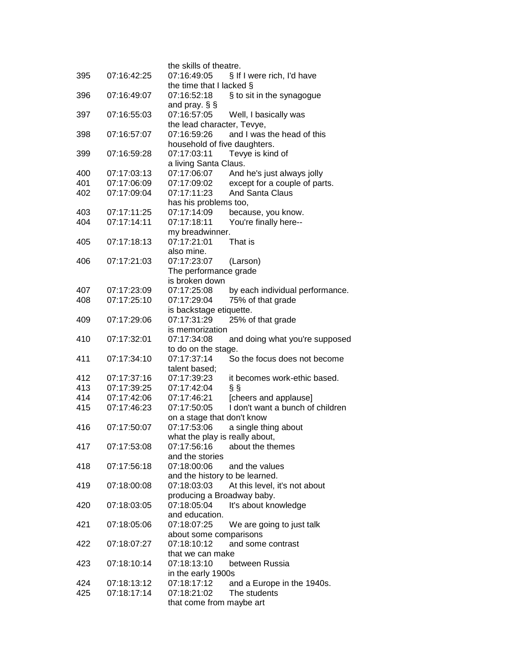| 395 | 07:16:42:25                | the skills of theatre.<br>07:16:49:05<br>§ If I were rich, I'd have      |
|-----|----------------------------|--------------------------------------------------------------------------|
|     |                            | the time that I lacked $\S$                                              |
| 396 | 07:16:49:07                | 07:16:52:18<br>§ to sit in the synagogue                                 |
|     |                            | and pray. $\S$ $\S$                                                      |
| 397 | 07:16:55:03                | 07:16:57:05<br>Well, I basically was                                     |
|     |                            | the lead character, Tevye,                                               |
| 398 | 07:16:57:07                | and I was the head of this<br>07:16:59:26                                |
|     |                            | household of five daughters.                                             |
| 399 | 07:16:59:28                | 07:17:03:11<br>Tevye is kind of                                          |
|     |                            | a living Santa Claus.                                                    |
| 400 | 07:17:03:13                | 07:17:06:07<br>And he's just always jolly                                |
| 401 | 07:17:06:09                | 07:17:09:02<br>except for a couple of parts.                             |
| 402 | 07:17:09:04                | 07:17:11:23<br><b>And Santa Claus</b>                                    |
|     |                            | has his problems too,                                                    |
| 403 | 07:17:11:25                | 07:17:14:09<br>because, you know.                                        |
| 404 | 07:17:14:11                | 07:17:18:11<br>You're finally here--                                     |
|     |                            | my breadwinner.                                                          |
| 405 | 07:17:18:13                | 07:17:21:01<br>That is                                                   |
|     |                            | also mine.                                                               |
| 406 | 07:17:21:03                | 07:17:23:07<br>(Larson)                                                  |
|     |                            | The performance grade                                                    |
|     |                            | is broken down                                                           |
| 407 | 07:17:23:09                | 07:17:25:08<br>by each individual performance.                           |
| 408 | 07:17:25:10                | 07:17:29:04<br>75% of that grade                                         |
|     |                            | is backstage etiquette.                                                  |
| 409 | 07:17:29:06                | 07:17:31:29<br>25% of that grade                                         |
|     |                            | is memorization                                                          |
| 410 | 07:17:32:01                | 07:17:34:08<br>and doing what you're supposed                            |
|     |                            | to do on the stage.                                                      |
| 411 | 07:17:34:10                | 07:17:37:14<br>So the focus does not become                              |
|     |                            | talent based;                                                            |
| 412 | 07:17:37:16                | 07:17:39:23<br>it becomes work-ethic based.                              |
| 413 | 07:17:39:25                | 07:17:42:04<br>§§<br>07:17:46:21                                         |
| 414 | 07:17:42:06<br>07:17:46:23 | [cheers and applause]<br>I don't want a bunch of children<br>07:17:50:05 |
| 415 |                            | on a stage that don't know                                               |
| 416 | 07:17:50:07                | 07:17:53:06                                                              |
|     |                            | a single thing about<br>what the play is really about,                   |
| 417 | 07:17:53:08                | 07:17:56:16<br>about the themes                                          |
|     |                            | and the stories                                                          |
| 418 | 07:17:56:18                | 07:18:00:06<br>and the values                                            |
|     |                            | and the history to be learned.                                           |
| 419 | 07:18:00:08                | 07:18:03:03<br>At this level, it's not about                             |
|     |                            | producing a Broadway baby.                                               |
| 420 | 07:18:03:05                | 07:18:05:04<br>It's about knowledge                                      |
|     |                            | and education.                                                           |
| 421 | 07:18:05:06                | 07:18:07:25<br>We are going to just talk                                 |
|     |                            | about some comparisons                                                   |
| 422 | 07:18:07:27                | and some contrast<br>07:18:10:12                                         |
|     |                            | that we can make                                                         |
| 423 | 07:18:10:14                | between Russia<br>07:18:13:10                                            |
|     |                            | in the early 1900s                                                       |
| 424 | 07:18:13:12                | 07:18:17:12<br>and a Europe in the 1940s.                                |
| 425 | 07:18:17:14                | 07:18:21:02<br>The students                                              |
|     |                            | that come from maybe art                                                 |
|     |                            |                                                                          |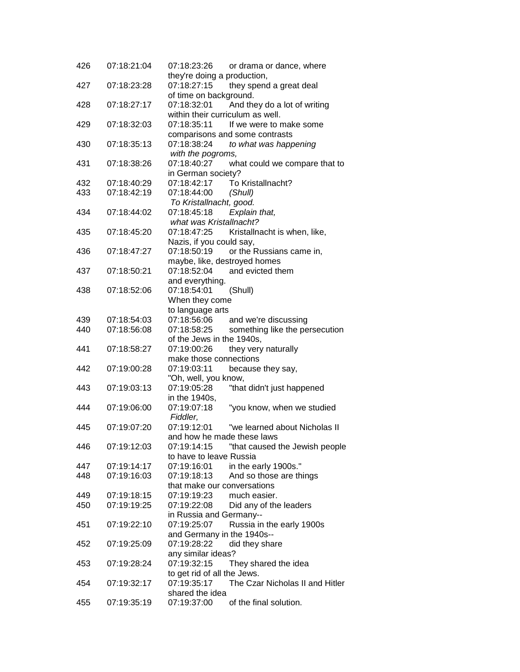| 426 | 07:18:21:04 | 07:18:23:26<br>or drama or dance, where        |
|-----|-------------|------------------------------------------------|
|     |             | they're doing a production,                    |
| 427 | 07:18:23:28 | 07:18:27:15<br>they spend a great deal         |
|     |             | of time on background.                         |
| 428 | 07:18:27:17 | 07:18:32:01<br>And they do a lot of writing    |
|     |             | within their curriculum as well.               |
| 429 | 07:18:32:03 | 07:18:35:11<br>If we were to make some         |
|     |             | comparisons and some contrasts                 |
| 430 | 07:18:35:13 | 07:18:38:24<br>to what was happening           |
|     |             | with the pogroms,                              |
| 431 | 07:18:38:26 | 07:18:40:27<br>what could we compare that to   |
|     |             | in German society?                             |
| 432 | 07:18:40:29 | 07:18:42:17<br>To Kristallnacht?               |
| 433 | 07:18:42:19 | 07:18:44:00<br>(Shull)                         |
|     |             | To Kristallnacht, good.                        |
| 434 | 07:18:44:02 | Explain that,<br>07:18:45:18                   |
|     |             | what was Kristallnacht?                        |
| 435 | 07:18:45:20 | 07:18:47:25<br>Kristallnacht is when, like,    |
|     |             | Nazis, if you could say,                       |
| 436 | 07:18:47:27 | or the Russians came in,<br>07:18:50:19        |
|     |             | maybe, like, destroyed homes                   |
| 437 | 07:18:50:21 | and evicted them<br>07:18:52:04                |
|     |             | and everything.                                |
| 438 | 07:18:52:06 | 07:18:54:01<br>(Shull)                         |
|     |             | When they come                                 |
|     |             | to language arts                               |
| 439 | 07:18:54:03 | 07:18:56:06<br>and we're discussing            |
| 440 | 07:18:56:08 | 07:18:58:25<br>something like the persecution  |
|     |             | of the Jews in the 1940s,                      |
| 441 | 07:18:58:27 | 07:19:00:26<br>they very naturally             |
|     |             | make those connections                         |
| 442 | 07:19:00:28 | 07:19:03:11<br>because they say,               |
|     |             | "Oh, well, you know,                           |
| 443 | 07:19:03:13 | 07:19:05:28<br>"that didn't just happened      |
|     |             | in the 1940s,                                  |
| 444 | 07:19:06:00 | 07:19:07:18<br>"you know, when we studied      |
|     |             | Fiddler,                                       |
| 445 | 07:19:07:20 | 07:19:12:01<br>"we learned about Nicholas II   |
|     |             | and how he made these laws                     |
| 446 | 07:19:12:03 | 07:19:14:15<br>"that caused the Jewish people  |
|     |             | to have to leave Russia                        |
| 447 | 07:19:14:17 | 07:19:16:01<br>in the early 1900s."            |
| 448 | 07:19:16:03 | And so those are things<br>07:19:18:13         |
|     |             | that make our conversations                    |
| 449 | 07:19:18:15 | 07:19:19:23<br>much easier.                    |
| 450 | 07:19:19:25 | 07:19:22:08<br>Did any of the leaders          |
|     |             | in Russia and Germany--                        |
| 451 | 07:19:22:10 | 07:19:25:07<br>Russia in the early 1900s       |
|     |             | and Germany in the 1940s--                     |
| 452 | 07:19:25:09 | 07:19:28:22<br>did they share                  |
|     |             | any similar ideas?                             |
| 453 | 07:19:28:24 | 07:19:32:15<br>They shared the idea            |
|     |             | to get rid of all the Jews.                    |
| 454 | 07:19:32:17 | 07:19:35:17<br>The Czar Nicholas II and Hitler |
|     |             | shared the idea                                |
| 455 | 07:19:35:19 | of the final solution.<br>07:19:37:00          |
|     |             |                                                |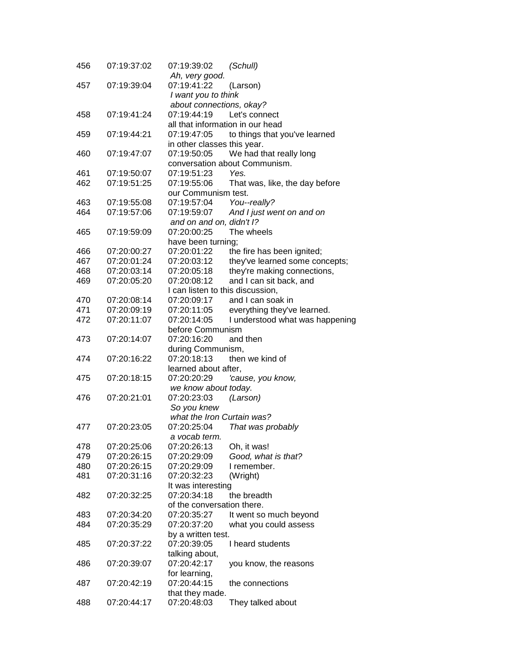| 456 | 07:19:37:02 | 07:19:39:02                      | (Schull)                         |
|-----|-------------|----------------------------------|----------------------------------|
|     |             | Ah, very good.                   |                                  |
| 457 | 07:19:39:04 | 07:19:41:22                      | (Larson)                         |
|     |             | I want you to think              |                                  |
|     |             | about connections, okay?         |                                  |
| 458 | 07:19:41:24 | 07:19:44:19                      | Let's connect                    |
|     |             |                                  | all that information in our head |
| 459 | 07:19:44:21 | 07:19:47:05                      | to things that you've learned    |
|     |             | in other classes this year.      |                                  |
| 460 | 07:19:47:07 | 07:19:50:05                      | We had that really long          |
|     |             |                                  | conversation about Communism.    |
| 461 | 07:19:50:07 | 07:19:51:23                      | Yes.                             |
| 462 | 07:19:51:25 | 07:19:55:06                      | That was, like, the day before   |
|     |             | our Communism test.              |                                  |
| 463 | 07:19:55:08 | 07:19:57:04                      | You--really?                     |
| 464 | 07:19:57:06 | 07:19:59:07                      | And I just went on and on        |
|     |             | and on and on, didn't I?         |                                  |
| 465 | 07:19:59:09 | 07:20:00:25                      | The wheels                       |
|     |             | have been turning;               |                                  |
| 466 | 07:20:00:27 | 07:20:01:22                      | the fire has been ignited;       |
| 467 | 07:20:01:24 | 07:20:03:12                      | they've learned some concepts;   |
| 468 | 07:20:03:14 | 07:20:05:18                      | they're making connections,      |
| 469 | 07:20:05:20 | 07:20:08:12                      | and I can sit back, and          |
|     |             | I can listen to this discussion, |                                  |
| 470 | 07:20:08:14 | 07:20:09:17                      | and I can soak in                |
| 471 | 07:20:09:19 | 07:20:11:05                      | everything they've learned.      |
| 472 | 07:20:11:07 | 07:20:14:05                      | I understood what was happening  |
|     |             | before Communism                 |                                  |
| 473 | 07:20:14:07 | 07:20:16:20                      | and then                         |
|     |             | during Communism,                |                                  |
| 474 | 07:20:16:22 | 07:20:18:13                      | then we kind of                  |
|     |             | learned about after,             |                                  |
| 475 | 07:20:18:15 | 07:20:20:29                      | 'cause, you know,                |
|     |             | we know about today.             |                                  |
| 476 | 07:20:21:01 | 07:20:23:03                      | (Larson)                         |
|     |             | So you knew                      |                                  |
|     |             | what the Iron Curtain was?       |                                  |
| 477 | 07:20:23:05 | 07:20:25:04                      | That was probably                |
|     |             | a vocab term.                    |                                  |
| 478 | 07:20:25:06 | 07:20:26:13                      | Oh, it was!                      |
| 479 | 07:20:26:15 | 07:20:29:09                      | Good, what is that?              |
| 480 | 07:20:26:15 | 07:20:29:09                      | I remember.                      |
| 481 | 07:20:31:16 | 07:20:32:23                      | (Wright)                         |
|     |             | It was interesting               |                                  |
| 482 | 07:20:32:25 | 07:20:34:18                      | the breadth                      |
|     |             | of the conversation there.       |                                  |
| 483 | 07:20:34:20 | 07:20:35:27                      | It went so much beyond           |
| 484 | 07:20:35:29 | 07:20:37:20                      | what you could assess            |
|     |             | by a written test.               |                                  |
| 485 | 07:20:37:22 | 07:20:39:05                      | I heard students                 |
|     |             | talking about,                   |                                  |
| 486 | 07:20:39:07 | 07:20:42:17                      | you know, the reasons            |
|     |             | for learning,                    |                                  |
| 487 | 07:20:42:19 | 07:20:44:15                      | the connections                  |
|     |             | that they made.                  |                                  |
| 488 | 07:20:44:17 | 07:20:48:03                      | They talked about                |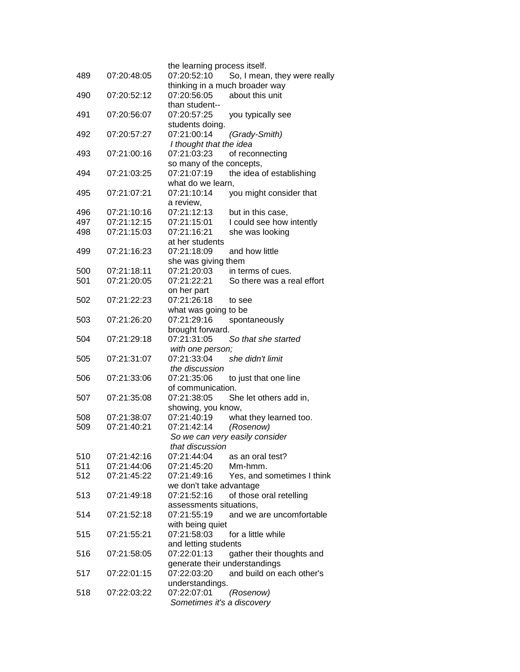| 489 | 07:20:48:05 | the learning process itself.<br>07:20:52:10 | So, I mean, they were really   |
|-----|-------------|---------------------------------------------|--------------------------------|
|     |             |                                             | thinking in a much broader way |
| 490 | 07:20:52:12 | 07:20:56:05                                 | about this unit                |
|     |             | than student--                              |                                |
| 491 | 07:20:56:07 | 07:20:57:25                                 | you typically see              |
|     |             | students doing.                             |                                |
| 492 | 07:20:57:27 | 07:21:00:14                                 | (Grady-Smith)                  |
|     |             | I thought that the idea                     |                                |
| 493 | 07:21:00:16 | 07:21:03:23                                 | of reconnecting                |
|     |             | so many of the concepts,                    |                                |
| 494 | 07:21:03:25 | 07:21:07:19                                 | the idea of establishing       |
|     |             | what do we learn,                           |                                |
| 495 | 07:21:07:21 | 07:21:10:14                                 | you might consider that        |
|     |             | a review,                                   |                                |
| 496 | 07:21:10:16 | 07:21:12:13                                 | but in this case,              |
| 497 | 07:21:12:15 | 07:21:15:01                                 | I could see how intently       |
| 498 | 07:21:15:03 | 07:21:16:21                                 | she was looking                |
|     |             | at her students                             |                                |
| 499 | 07:21:16:23 | 07:21:18:09                                 | and how little                 |
|     |             | she was giving them                         |                                |
| 500 | 07:21:18:11 | 07:21:20:03                                 | in terms of cues.              |
| 501 | 07:21:20:05 | 07:21:22:21                                 | So there was a real effort     |
|     |             | on her part                                 |                                |
| 502 | 07:21:22:23 | 07:21:26:18                                 | to see                         |
|     |             | what was going to be                        |                                |
| 503 | 07:21:26:20 | 07:21:29:16                                 | spontaneously                  |
|     |             | brought forward.                            |                                |
| 504 | 07:21:29:18 | 07:21:31:05                                 | So that she started            |
|     |             | with one person;                            |                                |
| 505 | 07:21:31:07 | 07:21:33:04                                 | she didn't limit               |
|     |             | the discussion                              |                                |
| 506 | 07:21:33:06 | 07:21:35:06                                 | to just that one line          |
|     |             | of communication.                           |                                |
| 507 | 07:21:35:08 | 07:21:38:05                                 | She let others add in,         |
|     |             | showing, you know,                          |                                |
| 508 | 07:21:38:07 | 07:21:40:19                                 | what they learned too.         |
| 509 | 07:21:40:21 | 07:21:42:14                                 | (Rosenow)                      |
|     |             |                                             | So we can very easily consider |
|     |             | that discussion                             |                                |
| 510 | 07:21:42:16 | 07:21:44:04                                 | as an oral test?               |
| 511 | 07:21:44:06 | 07:21:45:20                                 | Mm-hmm.                        |
| 512 | 07:21:45:22 | 07:21:49:16                                 |                                |
|     |             |                                             | Yes, and sometimes I think     |
|     |             | we don't take advantage                     |                                |
| 513 | 07:21:49:18 | 07:21:52:16<br>assessments situations,      | of those oral retelling        |
| 514 |             |                                             |                                |
|     | 07:21:52:18 | 07:21:55:19                                 | and we are uncomfortable       |
|     |             | with being quiet                            |                                |
| 515 | 07:21:55:21 | 07:21:58:03                                 | for a little while             |
|     |             | and letting students                        |                                |
| 516 | 07:21:58:05 | 07:22:01:13                                 | gather their thoughts and      |
|     |             | generate their understandings               |                                |
| 517 | 07:22:01:15 | 07:22:03:20                                 | and build on each other's      |
|     |             | understandings.                             |                                |
| 518 | 07:22:03:22 | 07:22:07:01                                 | (Rosenow)                      |
|     |             | Sometimes it's a discovery                  |                                |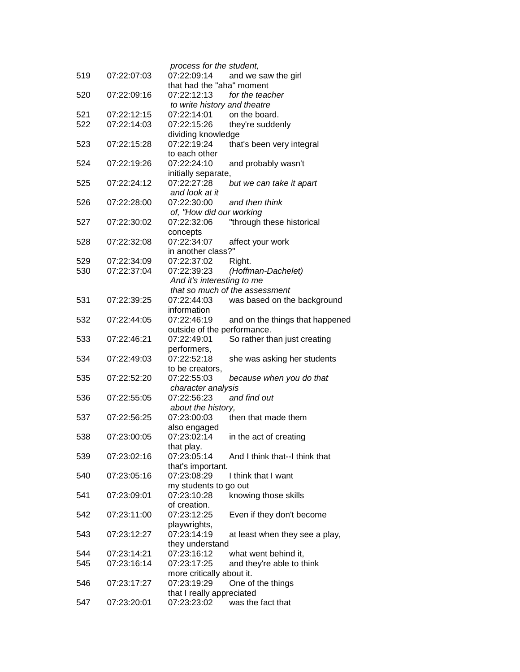| 519 | 07:22:07:03 | process for the student,<br>07:22:09:14 | and we saw the girl             |
|-----|-------------|-----------------------------------------|---------------------------------|
|     |             | that had the "aha" moment               |                                 |
| 520 | 07:22:09:16 | 07:22:12:13                             | for the teacher                 |
|     |             | to write history and theatre            |                                 |
| 521 | 07:22:12:15 | 07:22:14:01                             | on the board.                   |
| 522 | 07:22:14:03 | 07:22:15:26                             | they're suddenly                |
|     |             | dividing knowledge                      |                                 |
| 523 | 07:22:15:28 | 07:22:19:24                             | that's been very integral       |
|     |             | to each other                           |                                 |
| 524 | 07:22:19:26 | 07:22:24:10                             | and probably wasn't             |
|     |             | initially separate,                     |                                 |
| 525 | 07:22:24:12 | 07:22:27:28                             | but we can take it apart        |
|     |             | and look at it                          |                                 |
| 526 | 07:22:28:00 | 07:22:30:00                             | and then think                  |
|     |             | of, "How did our working                |                                 |
| 527 | 07:22:30:02 | 07:22:32:06                             | "through these historical       |
|     |             | concepts                                |                                 |
| 528 | 07:22:32:08 | 07:22:34:07                             | affect your work                |
|     |             | in another class?"                      |                                 |
| 529 | 07:22:34:09 | 07:22:37:02                             | Right.                          |
| 530 | 07:22:37:04 | 07:22:39:23                             | (Hoffman-Dachelet)              |
|     |             | And it's interesting to me              |                                 |
|     |             |                                         | that so much of the assessment  |
| 531 | 07:22:39:25 | 07:22:44:03                             | was based on the background     |
|     |             | information                             |                                 |
| 532 | 07:22:44:05 | 07:22:46:19                             | and on the things that happened |
|     |             | outside of the performance.             |                                 |
| 533 | 07:22:46:21 | 07:22:49:01                             | So rather than just creating    |
|     |             | performers,                             |                                 |
| 534 | 07:22:49:03 | 07:22:52:18                             | she was asking her students     |
|     |             | to be creators,                         |                                 |
| 535 | 07:22:52:20 | 07:22:55:03                             | because when you do that        |
|     |             | character analysis                      |                                 |
| 536 | 07:22:55:05 | 07:22:56:23                             | and find out                    |
|     |             | about the history,                      |                                 |
| 537 | 07:22:56:25 | 07:23:00:03                             | then that made them             |
|     |             | also engaged                            |                                 |
| 538 | 07:23:00:05 | 07:23:02:14                             | in the act of creating          |
|     |             | that play.                              |                                 |
| 539 | 07:23:02:16 | 07:23:05:14                             | And I think that--I think that  |
|     |             | that's important.                       |                                 |
| 540 | 07:23:05:16 | 07:23:08:29                             | I think that I want             |
|     |             | my students to go out                   |                                 |
| 541 | 07:23:09:01 | 07:23:10:28                             | knowing those skills            |
|     |             | of creation.                            |                                 |
| 542 |             | 07:23:12:25                             | Even if they don't become       |
|     | 07:23:11:00 |                                         |                                 |
|     |             | playwrights,<br>07:23:14:19             |                                 |
| 543 | 07:23:12:27 |                                         | at least when they see a play,  |
|     |             | they understand                         |                                 |
| 544 | 07:23:14:21 | 07:23:16:12                             | what went behind it,            |
| 545 | 07:23:16:14 | 07:23:17:25                             | and they're able to think       |
|     |             | more critically about it.               |                                 |
| 546 | 07:23:17:27 | 07:23:19:29                             | One of the things               |
|     |             | that I really appreciated               |                                 |
| 547 | 07:23:20:01 | 07:23:23:02                             | was the fact that               |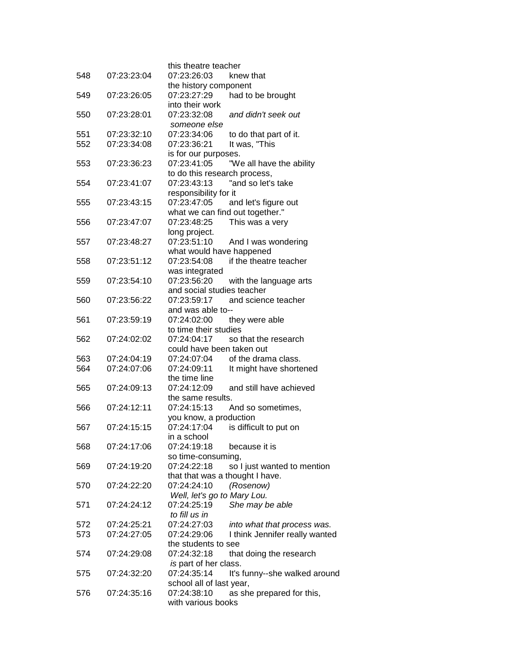| 548 | 07:23:23:04 | this theatre teacher<br>07:23:26:03<br>knew that                       |
|-----|-------------|------------------------------------------------------------------------|
|     |             | the history component                                                  |
| 549 | 07:23:26:05 | 07:23:27:29<br>had to be brought                                       |
|     |             | into their work                                                        |
| 550 | 07:23:28:01 | 07:23:32:08<br>and didn't seek out                                     |
| 551 | 07:23:32:10 | someone else<br>07:23:34:06                                            |
| 552 | 07:23:34:08 | to do that part of it.<br>It was, "This<br>07:23:36:21                 |
|     |             | is for our purposes.                                                   |
| 553 | 07:23:36:23 | 07:23:41:05<br>"We all have the ability                                |
|     |             | to do this research process,                                           |
| 554 | 07:23:41:07 | 07:23:43:13<br>"and so let's take                                      |
|     |             | responsibility for it                                                  |
| 555 | 07:23:43:15 | 07:23:47:05<br>and let's figure out<br>what we can find out together." |
| 556 | 07:23:47:07 | This was a very<br>07:23:48:25                                         |
|     |             | long project.                                                          |
| 557 | 07:23:48:27 | 07:23:51:10<br>And I was wondering                                     |
|     |             | what would have happened                                               |
| 558 | 07:23:51:12 | 07:23:54:08<br>if the theatre teacher                                  |
|     |             | was integrated                                                         |
| 559 | 07:23:54:10 | 07:23:56:20<br>with the language arts<br>and social studies teacher    |
| 560 | 07:23:56:22 | and science teacher<br>07:23:59:17                                     |
|     |             | and was able to--                                                      |
| 561 | 07:23:59:19 | 07:24:02:00<br>they were able                                          |
|     |             | to time their studies                                                  |
| 562 | 07:24:02:02 | 07:24:04:17<br>so that the research                                    |
|     |             | could have been taken out                                              |
| 563 | 07:24:04:19 | 07:24:07:04<br>of the drama class.                                     |
| 564 | 07:24:07:06 | 07:24:09:11<br>It might have shortened<br>the time line                |
| 565 | 07:24:09:13 | 07:24:12:09<br>and still have achieved                                 |
|     |             | the same results.                                                      |
| 566 | 07:24:12:11 | 07:24:15:13<br>And so sometimes,                                       |
|     |             | you know, a production                                                 |
| 567 | 07:24:15:15 | 07:24:17:04<br>is difficult to put on                                  |
|     |             | in a school                                                            |
| 568 | 07:24:17:06 | 07:24:19:18<br>because it is                                           |
| 569 | 07:24:19:20 | so time-consuming,<br>07:24:22:18                                      |
|     |             | so I just wanted to mention<br>that that was a thought I have.         |
| 570 | 07:24:22:20 | (Rosenow)<br>07:24:24:10                                               |
|     |             | Well, let's go to Mary Lou.                                            |
| 571 | 07:24:24:12 | 07:24:25:19<br>She may be able                                         |
|     |             | to fill us in                                                          |
| 572 | 07:24:25:21 | 07:24:27:03<br>into what that process was.                             |
| 573 | 07:24:27:05 | 07:24:29:06<br>I think Jennifer really wanted                          |
| 574 | 07:24:29:08 | the students to see<br>07:24:32:18<br>that doing the research          |
|     |             | is part of her class.                                                  |
| 575 | 07:24:32:20 | 07:24:35:14<br>It's funny--she walked around                           |
|     |             | school all of last year,                                               |
| 576 | 07:24:35:16 | 07:24:38:10<br>as she prepared for this,                               |
|     |             | with various books                                                     |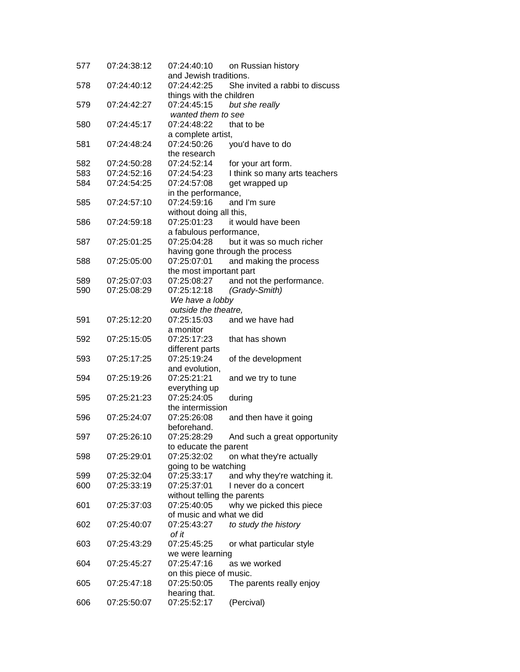| 577 | 07:24:38:12 | 07:24:40:10<br>on Russian history             |
|-----|-------------|-----------------------------------------------|
|     |             | and Jewish traditions.                        |
| 578 | 07:24:40:12 | 07:24:42:25<br>She invited a rabbi to discuss |
|     |             | things with the children                      |
| 579 | 07:24:42:27 | 07:24:45:15<br>but she really                 |
|     |             | wanted them to see                            |
| 580 | 07:24:45:17 | 07:24:48:22<br>that to be                     |
|     |             | a complete artist,                            |
| 581 | 07:24:48:24 | 07:24:50:26<br>you'd have to do               |
|     |             | the research                                  |
| 582 | 07:24:50:28 | 07:24:52:14<br>for your art form.             |
| 583 | 07:24:52:16 | 07:24:54:23<br>I think so many arts teachers  |
| 584 | 07:24:54:25 | 07:24:57:08<br>get wrapped up                 |
|     |             | in the performance,                           |
| 585 | 07:24:57:10 | 07:24:59:16<br>and I'm sure                   |
|     |             | without doing all this,                       |
| 586 | 07:24:59:18 | 07:25:01:23<br>it would have been             |
|     |             | a fabulous performance,                       |
| 587 | 07:25:01:25 | 07:25:04:28<br>but it was so much richer      |
|     |             | having gone through the process               |
| 588 | 07:25:05:00 | 07:25:07:01<br>and making the process         |
|     |             | the most important part                       |
| 589 | 07:25:07:03 | and not the performance.<br>07:25:08:27       |
| 590 | 07:25:08:29 | 07:25:12:18<br>(Grady-Smith)                  |
|     |             |                                               |
|     |             | We have a lobby<br>outside the theatre,       |
|     |             |                                               |
| 591 | 07:25:12:20 | 07:25:15:03<br>and we have had                |
|     |             | a monitor                                     |
| 592 | 07:25:15:05 | 07:25:17:23<br>that has shown                 |
|     |             | different parts                               |
| 593 | 07:25:17:25 | 07:25:19:24<br>of the development             |
|     |             | and evolution,                                |
| 594 | 07:25:19:26 | 07:25:21:21<br>and we try to tune             |
|     |             | everything up                                 |
| 595 | 07:25:21:23 | 07:25:24:05<br>during                         |
|     |             | the intermission                              |
| 596 | 07:25:24:07 | 07:25:26:08<br>and then have it going         |
|     |             | beforehand.                                   |
| 597 | 07:25:26:10 | 07:25:28:29<br>And such a great opportunity   |
|     |             | to educate the parent                         |
| 598 | 07:25:29:01 | 07:25:32:02<br>on what they're actually       |
|     |             | going to be watching                          |
| 599 | 07:25:32:04 | 07:25:33:17<br>and why they're watching it.   |
| 600 | 07:25:33:19 | 07:25:37:01<br>I never do a concert           |
|     |             | without telling the parents                   |
| 601 | 07:25:37:03 | 07:25:40:05<br>why we picked this piece       |
|     |             | of music and what we did                      |
| 602 | 07:25:40:07 | 07:25:43:27<br>to study the history           |
|     |             | of it                                         |
| 603 | 07:25:43:29 | 07:25:45:25<br>or what particular style       |
|     |             | we were learning                              |
| 604 | 07:25:45:27 | 07:25:47:16<br>as we worked                   |
|     |             | on this piece of music.                       |
| 605 | 07:25:47:18 | 07:25:50:05<br>The parents really enjoy       |
|     |             | hearing that.                                 |
| 606 | 07:25:50:07 | 07:25:52:17<br>(Percival)                     |
|     |             |                                               |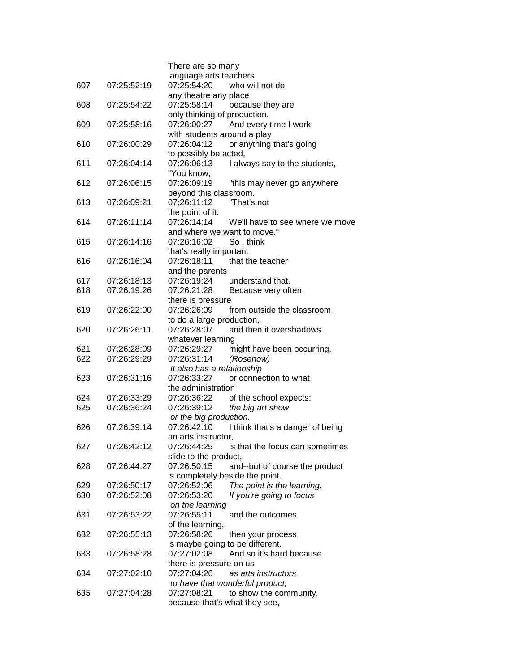|     |             | There are so many                                                        |
|-----|-------------|--------------------------------------------------------------------------|
|     |             | language arts teachers                                                   |
| 607 | 07:25:52:19 | 07:25:54:20<br>who will not do                                           |
|     |             | any theatre any place                                                    |
| 608 | 07:25:54:22 | 07:25:58:14<br>because they are                                          |
|     |             | only thinking of production.                                             |
| 609 | 07:25:58:16 | And every time I work<br>07:26:00:27                                     |
|     |             | with students around a play                                              |
| 610 | 07:26:00:29 | or anything that's going<br>07:26:04:12                                  |
|     |             | to possibly be acted,                                                    |
| 611 | 07:26:04:14 | 07:26:06:13<br>I always say to the students,                             |
|     |             | "You know,                                                               |
| 612 | 07:26:06:15 | 07:26:09:19<br>"this may never go anywhere                               |
|     |             | beyond this classroom.                                                   |
| 613 | 07:26:09:21 | 07:26:11:12<br>"That's not                                               |
|     |             | the point of it.                                                         |
| 614 | 07:26:11:14 | 07:26:14:14<br>We'll have to see where we move                           |
|     |             | and where we want to move."                                              |
| 615 | 07:26:14:16 | So I think<br>07:26:16:02                                                |
|     |             | that's really important                                                  |
| 616 | 07:26:16:04 | 07:26:18:11<br>that the teacher                                          |
|     |             | and the parents                                                          |
| 617 | 07:26:18:13 | 07:26:19:24<br>understand that.                                          |
| 618 | 07:26:19:26 | 07:26:21:28<br>Because very often,                                       |
|     |             | there is pressure                                                        |
| 619 | 07:26:22:00 | 07:26:26:09<br>from outside the classroom                                |
|     |             | to do a large production,                                                |
| 620 | 07:26:26:11 | 07:26:28:07<br>and then it overshadows                                   |
|     |             | whatever learning                                                        |
| 621 | 07:26:28:09 | 07:26:29:27<br>might have been occurring.                                |
| 622 | 07:26:29:29 | 07:26:31:14<br>(Rosenow)                                                 |
|     |             | It also has a relationship                                               |
| 623 | 07:26:31:16 | or connection to what<br>07:26:33:27                                     |
|     |             | the administration                                                       |
| 624 | 07:26:33:29 | 07:26:36:22<br>of the school expects:                                    |
| 625 | 07:26:36:24 | 07:26:39:12<br>the big art show                                          |
|     |             | or the big production.                                                   |
| 626 | 07:26:39:14 | 07:26:42:10<br>I think that's a danger of being                          |
|     |             | an arts instructor,                                                      |
| 627 | 07:26:42:12 | 07:26:44:25<br>is that the focus can sometimes                           |
|     |             | slide to the product,                                                    |
| 628 | 07:26:44:27 | 07:26:50:15<br>and--but of course the product                            |
|     |             | is completely beside the point.                                          |
| 629 | 07:26:50:17 | The point is the learning.<br>07:26:52:06                                |
| 630 | 07:26:52:08 | 07:26:53:20<br>If you're going to focus                                  |
|     |             | on the learning                                                          |
| 631 | 07:26:53:22 | 07:26:55:11<br>and the outcomes                                          |
|     |             | of the learning,                                                         |
| 632 | 07:26:55:13 | 07:26:58:26<br>then your process                                         |
|     |             | is maybe going to be different.                                          |
|     | 07:26:58:28 | And so it's hard because<br>07:27:02:08                                  |
| 633 |             |                                                                          |
| 634 | 07:27:02:10 | there is pressure on us<br>07:27:04:26<br>as arts instructors            |
|     |             |                                                                          |
| 635 | 07:27:04:28 | to have that wonderful product,<br>07:27:08:21<br>to show the community, |
|     |             | because that's what they see,                                            |
|     |             |                                                                          |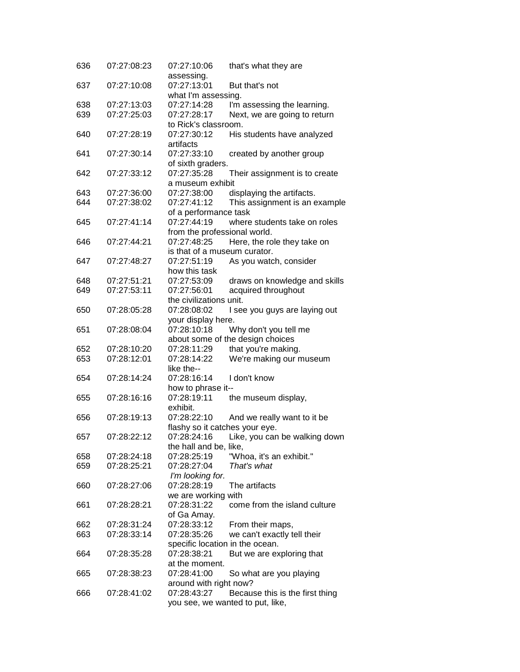| 636 | 07:27:08:23 | 07:27:10:06                     | that's what they are             |
|-----|-------------|---------------------------------|----------------------------------|
|     |             | assessing.                      |                                  |
| 637 | 07:27:10:08 | 07:27:13:01                     | But that's not                   |
|     |             | what I'm assessing.             |                                  |
| 638 | 07:27:13:03 | 07:27:14:28                     | I'm assessing the learning.      |
| 639 | 07:27:25:03 | 07:27:28:17                     | Next, we are going to return     |
|     |             | to Rick's classroom.            |                                  |
| 640 | 07:27:28:19 | 07:27:30:12                     | His students have analyzed       |
|     |             | artifacts                       |                                  |
| 641 | 07:27:30:14 | 07:27:33:10                     | created by another group         |
|     |             | of sixth graders.               |                                  |
| 642 | 07:27:33:12 | 07:27:35:28                     | Their assignment is to create    |
|     |             | a museum exhibit                |                                  |
| 643 | 07:27:36:00 | 07:27:38:00                     | displaying the artifacts.        |
|     | 07:27:38:02 |                                 |                                  |
| 644 |             | 07:27:41:12                     | This assignment is an example    |
|     |             | of a performance task           |                                  |
| 645 | 07:27:41:14 | 07:27:44:19                     | where students take on roles     |
|     |             | from the professional world.    |                                  |
| 646 | 07:27:44:21 | 07:27:48:25                     | Here, the role they take on      |
|     |             | is that of a museum curator.    |                                  |
| 647 | 07:27:48:27 | 07:27:51:19                     | As you watch, consider           |
|     |             | how this task                   |                                  |
| 648 | 07:27:51:21 | 07:27:53:09                     | draws on knowledge and skills    |
| 649 | 07:27:53:11 | 07:27:56:01                     | acquired throughout              |
|     |             | the civilizations unit.         |                                  |
| 650 | 07:28:05:28 | 07:28:08:02                     | I see you guys are laying out    |
|     |             | your display here.              |                                  |
| 651 | 07:28:08:04 | 07:28:10:18                     | Why don't you tell me            |
|     |             |                                 | about some of the design choices |
| 652 | 07:28:10:20 | 07:28:11:29                     | that you're making.              |
|     |             |                                 |                                  |
| 653 | 07:28:12:01 | 07:28:14:22                     | We're making our museum          |
|     |             | like the--                      |                                  |
| 654 | 07:28:14:24 | 07:28:16:14                     | I don't know                     |
|     |             | how to phrase it--              |                                  |
| 655 | 07:28:16:16 | 07:28:19:11                     | the museum display,              |
|     |             | exhibit.                        |                                  |
| 656 | 07:28:19:13 | 07:28:22:10                     | And we really want to it be      |
|     |             | flashy so it catches your eye.  |                                  |
| 657 | 07:28:22:12 | 07:28:24:16                     | Like, you can be walking down    |
|     |             | the hall and be, like,          |                                  |
| 658 | 07:28:24:18 | 07:28:25:19                     | "Whoa, it's an exhibit."         |
| 659 | 07:28:25:21 | 07:28:27:04                     | That's what                      |
|     |             | I'm looking for.                |                                  |
| 660 | 07:28:27:06 | 07:28:28:19                     | The artifacts                    |
|     |             | we are working with             |                                  |
| 661 | 07:28:28:21 | 07:28:31:22                     | come from the island culture     |
|     |             |                                 |                                  |
|     |             | of Ga Amay.                     |                                  |
| 662 | 07:28:31:24 | 07:28:33:12                     | From their maps,                 |
| 663 | 07:28:33:14 | 07:28:35:26                     | we can't exactly tell their      |
|     |             | specific location in the ocean. |                                  |
| 664 | 07:28:35:28 | 07:28:38:21                     | But we are exploring that        |
|     |             | at the moment.                  |                                  |
| 665 | 07:28:38:23 | 07:28:41:00                     | So what are you playing          |
|     |             | around with right now?          |                                  |
| 666 | 07:28:41:02 | 07:28:43:27                     | Because this is the first thing  |
|     |             |                                 | you see, we wanted to put, like, |
|     |             |                                 |                                  |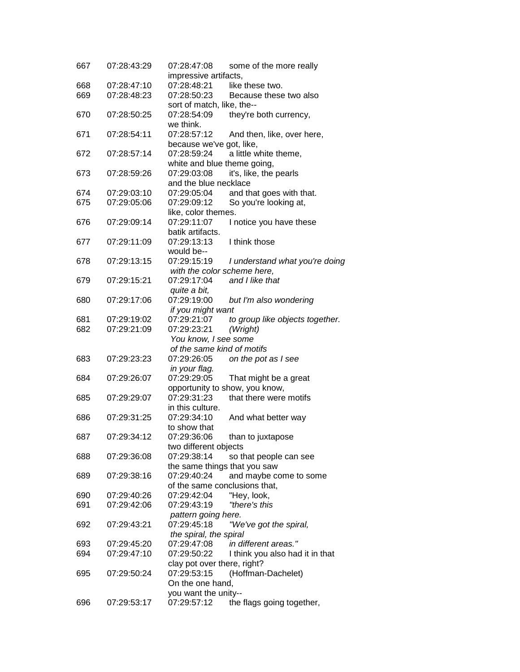| 667 | 07:28:43:29 | 07:28:47:08<br>some of the more really         |
|-----|-------------|------------------------------------------------|
|     |             | impressive artifacts,                          |
| 668 | 07:28:47:10 | 07:28:48:21<br>like these two.                 |
| 669 | 07:28:48:23 | 07:28:50:23<br>Because these two also          |
|     |             | sort of match, like, the--                     |
| 670 | 07:28:50:25 | 07:28:54:09<br>they're both currency,          |
|     |             | we think.                                      |
| 671 | 07:28:54:11 | 07:28:57:12<br>And then, like, over here,      |
|     |             | because we've got, like,                       |
| 672 | 07:28:57:14 | 07:28:59:24<br>a little white theme,           |
|     |             | white and blue theme going,                    |
| 673 | 07:28:59:26 | 07:29:03:08<br>it's, like, the pearls          |
|     |             | and the blue necklace                          |
| 674 | 07:29:03:10 | 07:29:05:04<br>and that goes with that.        |
| 675 | 07:29:05:06 | 07:29:09:12<br>So you're looking at,           |
|     |             | like, color themes.                            |
| 676 | 07:29:09:14 | 07:29:11:07<br>I notice you have these         |
|     |             | batik artifacts.                               |
| 677 | 07:29:11:09 | 07:29:13:13<br>I think those                   |
|     |             | would be--                                     |
| 678 | 07:29:13:15 | 07:29:15:19<br>I understand what you're doing  |
|     |             | with the color scheme here,                    |
| 679 | 07:29:15:21 | and I like that<br>07:29:17:04                 |
|     |             | quite a bit,                                   |
| 680 | 07:29:17:06 | 07:29:19:00<br>but I'm also wondering          |
|     |             | if you might want                              |
| 681 | 07:29:19:02 | 07:29:21:07<br>to group like objects together. |
| 682 | 07:29:21:09 | 07:29:23:21<br>(Wright)                        |
|     |             | You know, I see some                           |
|     |             | of the same kind of motifs                     |
| 683 | 07:29:23:23 | 07:29:26:05<br>on the pot as I see             |
|     |             | in your flag.                                  |
| 684 | 07:29:26:07 | 07:29:29:05<br>That might be a great           |
|     |             | opportunity to show, you know,                 |
|     | 07:29:29:07 | 07:29:31:23<br>that there were motifs          |
| 685 |             | in this culture.                               |
| 686 | 07:29:31:25 | 07:29:34:10                                    |
|     |             | And what better way                            |
|     |             | to show that                                   |
| 687 | 07:29:34:12 | 07:29:36:06<br>than to juxtapose               |
|     |             | two different objects                          |
| 688 | 07:29:36:08 | 07:29:38:14<br>so that people can see          |
|     |             | the same things that you saw                   |
| 689 | 07:29:38:16 | 07:29:40:24<br>and maybe come to some          |
|     |             | of the same conclusions that,                  |
| 690 | 07:29:40:26 | 07:29:42:04<br>"Hey, look,                     |
| 691 | 07:29:42:06 | "there's this<br>07:29:43:19                   |
|     |             | pattern going here.                            |
| 692 | 07:29:43:21 | 07:29:45:18<br>"We've got the spiral,          |
|     |             | the spiral, the spiral                         |
| 693 | 07:29:45:20 | 07:29:47:08<br>in different areas."            |
| 694 | 07:29:47:10 | 07:29:50:22<br>I think you also had it in that |
|     |             | clay pot over there, right?                    |
| 695 | 07:29:50:24 | (Hoffman-Dachelet)<br>07:29:53:15              |
|     |             | On the one hand,                               |
|     |             | you want the unity--                           |
| 696 | 07:29:53:17 | the flags going together,<br>07:29:57:12       |
|     |             |                                                |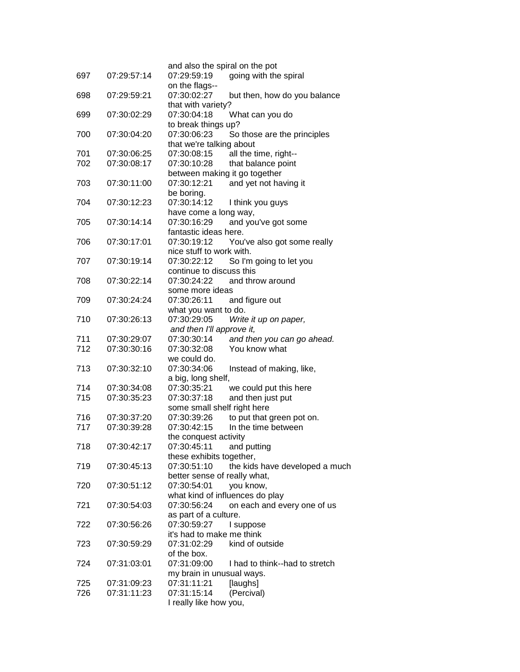| 697 | 07:29:57:14 | and also the spiral on the pot<br>going with the spiral<br>07:29:59:19 |
|-----|-------------|------------------------------------------------------------------------|
|     |             | on the flags--                                                         |
| 698 | 07:29:59:21 | 07:30:02:27<br>but then, how do you balance                            |
|     |             | that with variety?                                                     |
| 699 | 07:30:02:29 | 07:30:04:18<br>What can you do                                         |
|     |             | to break things up?                                                    |
| 700 | 07:30:04:20 | 07:30:06:23<br>So those are the principles                             |
|     |             | that we're talking about                                               |
| 701 | 07:30:06:25 | 07:30:08:15<br>all the time, right--                                   |
| 702 | 07:30:08:17 | 07:30:10:28<br>that balance point                                      |
|     |             | between making it go together                                          |
| 703 | 07:30:11:00 | and yet not having it<br>07:30:12:21                                   |
|     |             | be boring.                                                             |
| 704 | 07:30:12:23 | 07:30:14:12<br>I think you guys                                        |
|     |             | have come a long way,                                                  |
| 705 | 07:30:14:14 | 07:30:16:29<br>and you've got some                                     |
|     |             | fantastic ideas here.                                                  |
| 706 | 07:30:17:01 | 07:30:19:12<br>You've also got some really                             |
|     |             | nice stuff to work with.                                               |
| 707 | 07:30:19:14 | 07:30:22:12<br>So I'm going to let you                                 |
|     |             | continue to discuss this                                               |
| 708 | 07:30:22:14 | 07:30:24:22<br>and throw around                                        |
|     |             | some more ideas                                                        |
| 709 | 07:30:24:24 | 07:30:26:11<br>and figure out                                          |
|     |             | what you want to do.                                                   |
| 710 | 07:30:26:13 | 07:30:29:05<br>Write it up on paper,                                   |
|     |             | and then I'll approve it,                                              |
| 711 | 07:30:29:07 | 07:30:30:14<br>and then you can go ahead.                              |
| 712 | 07:30:30:16 | You know what<br>07:30:32:08                                           |
|     |             | we could do.                                                           |
| 713 | 07:30:32:10 | 07:30:34:06<br>Instead of making, like,                                |
| 714 | 07:30:34:08 | a big, long shelf,<br>07:30:35:21                                      |
| 715 | 07:30:35:23 | we could put this here<br>07:30:37:18<br>and then just put             |
|     |             | some small shelf right here                                            |
| 716 | 07:30:37:20 | 07:30:39:26<br>to put that green pot on.                               |
| 717 | 07:30:39:28 | In the time between<br>07:30:42:15                                     |
|     |             | the conquest activity                                                  |
| 718 | 07:30:42:17 | 07:30:45:11<br>and putting                                             |
|     |             | these exhibits together,                                               |
| 719 | 07:30:45:13 | 07:30:51:10<br>the kids have developed a much                          |
|     |             | better sense of really what,                                           |
| 720 | 07:30:51:12 | 07:30:54:01<br>you know,                                               |
|     |             | what kind of influences do play                                        |
| 721 | 07:30:54:03 | 07:30:56:24<br>on each and every one of us                             |
|     |             | as part of a culture.                                                  |
| 722 | 07:30:56:26 | 07:30:59:27<br>I suppose                                               |
|     |             | it's had to make me think                                              |
| 723 | 07:30:59:29 | 07:31:02:29<br>kind of outside                                         |
|     |             | of the box.                                                            |
| 724 | 07:31:03:01 | 07:31:09:00<br>I had to think--had to stretch                          |
|     |             | my brain in unusual ways.                                              |
| 725 | 07:31:09:23 | 07:31:11:21<br>[laughs]                                                |
| 726 | 07:31:11:23 | 07:31:15:14<br>(Percival)                                              |
|     |             | I really like how you,                                                 |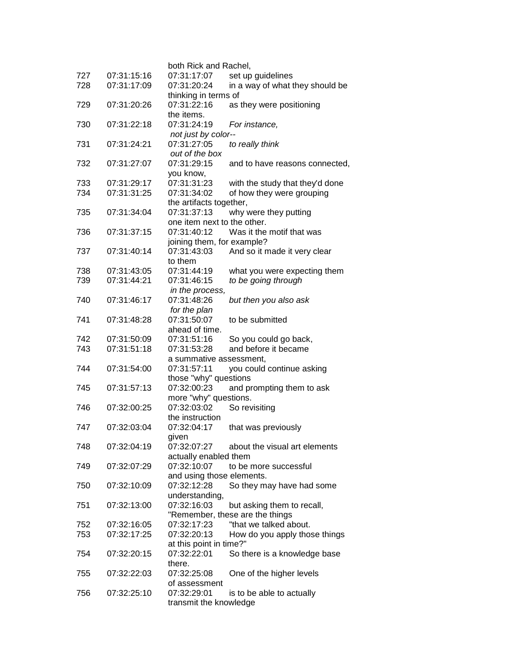|     |             | both Rick and Rachel,       |                                 |
|-----|-------------|-----------------------------|---------------------------------|
| 727 | 07:31:15:16 | 07:31:17:07                 | set up guidelines               |
| 728 | 07:31:17:09 | 07:31:20:24                 | in a way of what they should be |
|     |             | thinking in terms of        |                                 |
| 729 | 07:31:20:26 | 07:31:22:16                 | as they were positioning        |
|     |             | the items.                  |                                 |
| 730 | 07:31:22:18 | 07:31:24:19                 | For instance,                   |
|     |             | not just by color--         |                                 |
| 731 | 07:31:24:21 | 07:31:27:05                 | to really think                 |
|     |             | out of the box              |                                 |
| 732 | 07:31:27:07 | 07:31:29:15                 | and to have reasons connected,  |
|     |             | you know,                   |                                 |
| 733 | 07:31:29:17 | 07:31:31:23                 | with the study that they'd done |
| 734 | 07:31:31:25 | 07:31:34:02                 | of how they were grouping       |
|     |             | the artifacts together,     |                                 |
| 735 | 07:31:34:04 | 07:31:37:13                 | why were they putting           |
|     |             | one item next to the other. |                                 |
| 736 | 07:31:37:15 | 07:31:40:12                 | Was it the motif that was       |
|     |             | joining them, for example?  |                                 |
| 737 | 07:31:40:14 | 07:31:43:03                 | And so it made it very clear    |
|     |             | to them                     |                                 |
| 738 | 07:31:43:05 | 07:31:44:19                 | what you were expecting them    |
| 739 | 07:31:44:21 | 07:31:46:15                 | to be going through             |
|     |             | in the process,             |                                 |
| 740 | 07:31:46:17 | 07:31:48:26                 | but then you also ask           |
|     |             | for the plan                |                                 |
| 741 | 07:31:48:28 | 07:31:50:07                 | to be submitted                 |
|     |             | ahead of time.              |                                 |
| 742 | 07:31:50:09 | 07:31:51:16                 | So you could go back,           |
| 743 | 07:31:51:18 | 07:31:53:28                 | and before it became            |
|     |             | a summative assessment,     |                                 |
| 744 | 07:31:54:00 | 07:31:57:11                 | you could continue asking       |
|     |             | those "why" questions       |                                 |
| 745 | 07:31:57:13 | 07:32:00:23                 | and prompting them to ask       |
|     |             | more "why" questions.       |                                 |
| 746 | 07:32:00:25 | 07:32:03:02                 | So revisiting                   |
|     |             | the instruction             |                                 |
| 747 | 07:32:03:04 | 07:32:04:17                 | that was previously             |
|     |             | given                       |                                 |
| 748 | 07:32:04:19 | 07:32:07:27                 | about the visual art elements   |
|     |             | actually enabled them       |                                 |
| 749 | 07:32:07:29 | 07:32:10:07                 | to be more successful           |
|     |             | and using those elements.   |                                 |
| 750 | 07:32:10:09 | 07:32:12:28                 | So they may have had some       |
|     |             | understanding,              |                                 |
| 751 | 07:32:13:00 | 07:32:16:03                 | but asking them to recall,      |
|     |             |                             | "Remember, these are the things |
| 752 | 07:32:16:05 | 07:32:17:23                 | "that we talked about.          |
| 753 | 07:32:17:25 | 07:32:20:13                 | How do you apply those things   |
|     |             | at this point in time?"     |                                 |
| 754 | 07:32:20:15 | 07:32:22:01                 | So there is a knowledge base    |
|     |             | there.                      |                                 |
| 755 | 07:32:22:03 | 07:32:25:08                 | One of the higher levels        |
|     |             | of assessment               |                                 |
| 756 | 07:32:25:10 | 07:32:29:01                 | is to be able to actually       |
|     |             | transmit the knowledge      |                                 |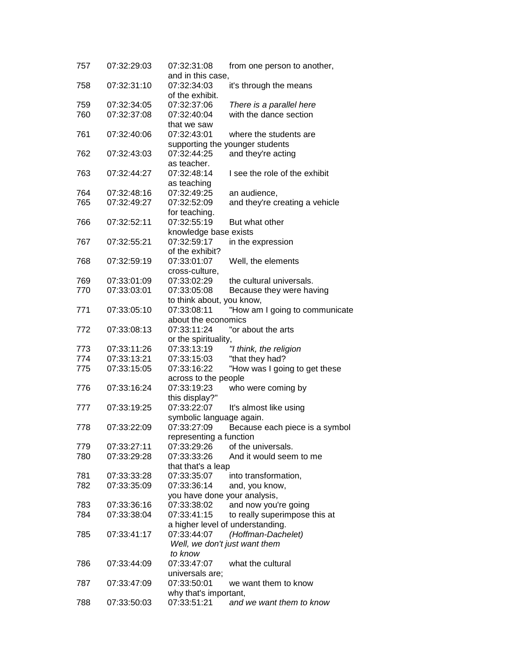| 757 | 07:32:29:03 | 07:32:31:08<br>from one person to another,    |
|-----|-------------|-----------------------------------------------|
|     |             | and in this case,                             |
| 758 | 07:32:31:10 | 07:32:34:03<br>it's through the means         |
|     |             | of the exhibit.                               |
| 759 | 07:32:34:05 | 07:32:37:06<br>There is a parallel here       |
| 760 | 07:32:37:08 | with the dance section<br>07:32:40:04         |
|     |             | that we saw                                   |
| 761 | 07:32:40:06 | 07:32:43:01<br>where the students are         |
|     |             |                                               |
|     |             | supporting the younger students               |
| 762 | 07:32:43:03 | 07:32:44:25<br>and they're acting             |
|     |             | as teacher.                                   |
| 763 | 07:32:44:27 | 07:32:48:14<br>I see the role of the exhibit  |
|     |             | as teaching                                   |
| 764 | 07:32:48:16 | 07:32:49:25<br>an audience,                   |
| 765 | 07:32:49:27 | 07:32:52:09<br>and they're creating a vehicle |
|     |             | for teaching.                                 |
| 766 | 07:32:52:11 | 07:32:55:19<br>But what other                 |
|     |             | knowledge base exists                         |
|     |             | 07:32:59:17                                   |
| 767 | 07:32:55:21 | in the expression                             |
|     |             | of the exhibit?                               |
| 768 | 07:32:59:19 | 07:33:01:07<br>Well, the elements             |
|     |             | cross-culture,                                |
| 769 | 07:33:01:09 | 07:33:02:29<br>the cultural universals.       |
| 770 | 07:33:03:01 | 07:33:05:08<br>Because they were having       |
|     |             | to think about, you know,                     |
| 771 | 07:33:05:10 | 07:33:08:11<br>"How am I going to communicate |
|     |             | about the economics                           |
| 772 | 07:33:08:13 | 07:33:11:24<br>"or about the arts             |
|     |             |                                               |
|     |             | or the spirituality,                          |
| 773 | 07:33:11:26 | 07:33:13:19<br>"I think, the religion         |
| 774 | 07:33:13:21 | "that they had?<br>07:33:15:03                |
| 775 | 07:33:15:05 | "How was I going to get these<br>07:33:16:22  |
|     |             | across to the people                          |
| 776 | 07:33:16:24 | 07:33:19:23<br>who were coming by             |
|     |             | this display?"                                |
| 777 | 07:33:19:25 | 07:33:22:07<br>It's almost like using         |
|     |             | symbolic language again.                      |
| 778 | 07:33:22:09 | 07:33:27:09<br>Because each piece is a symbol |
|     |             |                                               |
|     |             | representing a function                       |
| 779 | 07:33:27:11 | 07:33:29:26<br>of the universals.             |
| 780 | 07:33:29:28 | 07:33:33:26<br>And it would seem to me        |
|     |             | that that's a leap                            |
| 781 | 07:33:33:28 | 07:33:35:07<br>into transformation,           |
| 782 | 07:33:35:09 | 07:33:36:14<br>and, you know,                 |
|     |             | you have done your analysis,                  |
| 783 | 07:33:36:16 | 07:33:38:02<br>and now you're going           |
| 784 | 07:33:38:04 | 07:33:41:15<br>to really superimpose this at  |
|     |             | a higher level of understanding.              |
| 785 | 07:33:41:17 | 07:33:44:07                                   |
|     |             | (Hoffman-Dachelet)                            |
|     |             | Well, we don't just want them                 |
|     |             | to know                                       |
| 786 | 07:33:44:09 | 07:33:47:07<br>what the cultural              |
|     |             | universals are;                               |
| 787 | 07:33:47:09 | 07:33:50:01<br>we want them to know           |
|     |             | why that's important,                         |
| 788 | 07:33:50:03 | 07:33:51:21<br>and we want them to know       |
|     |             |                                               |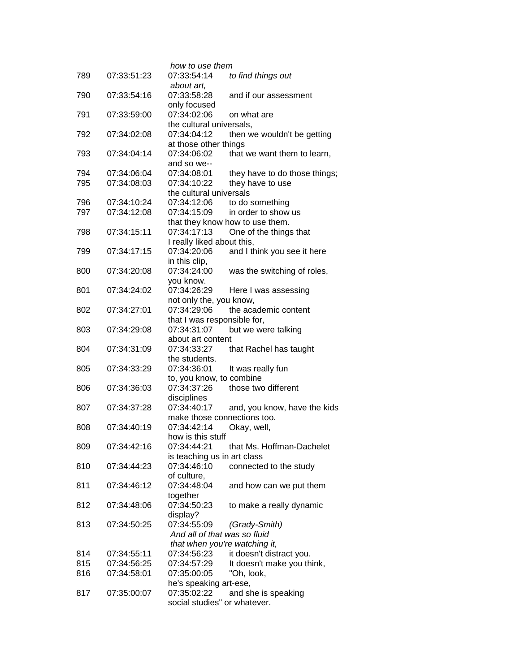|     |             | how to use them               |                                 |
|-----|-------------|-------------------------------|---------------------------------|
| 789 | 07:33:51:23 | 07:33:54:14                   | to find things out              |
|     |             | about art,                    |                                 |
| 790 | 07:33:54:16 | 07:33:58:28                   | and if our assessment           |
|     |             | only focused                  |                                 |
| 791 | 07:33:59:00 | 07:34:02:06                   | on what are                     |
|     |             | the cultural universals,      |                                 |
| 792 | 07:34:02:08 | 07:34:04:12                   | then we wouldn't be getting     |
|     |             | at those other things         |                                 |
| 793 | 07:34:04:14 | 07:34:06:02                   | that we want them to learn,     |
|     |             | and so we--                   |                                 |
| 794 | 07:34:06:04 | 07:34:08:01                   | they have to do those things;   |
| 795 | 07:34:08:03 | 07:34:10:22                   | they have to use                |
|     |             | the cultural universals       |                                 |
| 796 | 07:34:10:24 | 07:34:12:06                   | to do something                 |
| 797 | 07:34:12:08 | 07:34:15:09                   | in order to show us             |
|     |             |                               | that they know how to use them. |
| 798 | 07:34:15:11 | 07:34:17:13                   | One of the things that          |
|     |             | I really liked about this,    |                                 |
| 799 | 07:34:17:15 | 07:34:20:06                   | and I think you see it here     |
|     |             | in this clip,                 |                                 |
| 800 | 07:34:20:08 | 07:34:24:00                   | was the switching of roles,     |
|     |             | you know.                     |                                 |
| 801 | 07:34:24:02 | 07:34:26:29                   | Here I was assessing            |
|     |             | not only the, you know,       |                                 |
| 802 | 07:34:27:01 | 07:34:29:06                   | the academic content            |
|     |             | that I was responsible for,   |                                 |
| 803 | 07:34:29:08 | 07:34:31:07                   | but we were talking             |
|     |             | about art content             |                                 |
| 804 | 07:34:31:09 | 07:34:33:27                   | that Rachel has taught          |
| 805 | 07:34:33:29 | the students.<br>07:34:36:01  |                                 |
|     |             | to, you know, to combine      | It was really fun               |
| 806 | 07:34:36:03 | 07:34:37:26                   | those two different             |
|     |             | disciplines                   |                                 |
| 807 | 07:34:37:28 | 07:34:40:17                   | and, you know, have the kids    |
|     |             | make those connections too.   |                                 |
| 808 | 07:34:40:19 | 07:34:42:14                   | Okay, well,                     |
|     |             | how is this stuff             |                                 |
| 809 | 07:34:42:16 | 07:34:44:21                   | that Ms. Hoffman-Dachelet       |
|     |             | is teaching us in art class   |                                 |
| 810 | 07:34:44:23 | 07:34:46:10                   | connected to the study          |
|     |             | of culture,                   |                                 |
| 811 | 07:34:46:12 | 07:34:48:04                   | and how can we put them         |
|     |             | together                      |                                 |
| 812 | 07:34:48:06 | 07:34:50:23                   | to make a really dynamic        |
|     |             | display?                      |                                 |
| 813 | 07:34:50:25 | 07:34:55:09                   | (Grady-Smith)                   |
|     |             | And all of that was so fluid  |                                 |
|     |             | that when you're watching it, |                                 |
| 814 | 07:34:55:11 | 07:34:56:23                   | it doesn't distract you.        |
| 815 | 07:34:56:25 | 07:34:57:29                   | It doesn't make you think,      |
| 816 | 07:34:58:01 | 07:35:00:05                   | "Oh, look,                      |
|     |             | he's speaking art-ese,        |                                 |
| 817 | 07:35:00:07 | 07:35:02:22                   | and she is speaking             |
|     |             | social studies" or whatever.  |                                 |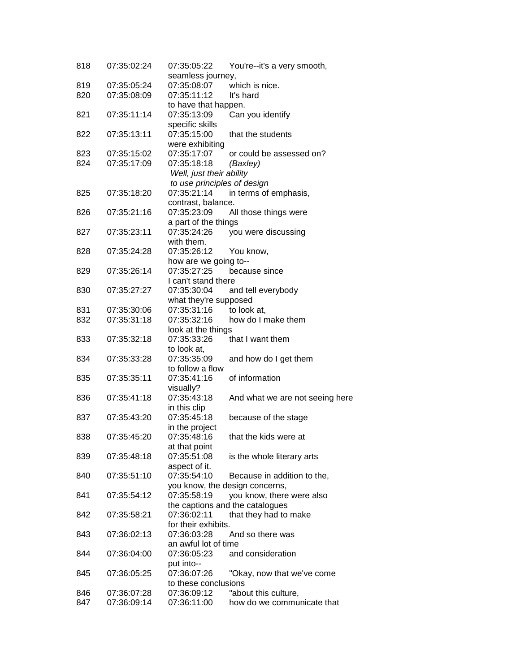| 818 | 07:35:02:24 | 07:35:05:22                     | You're--it's a very smooth,     |
|-----|-------------|---------------------------------|---------------------------------|
|     |             | seamless journey,               |                                 |
| 819 | 07:35:05:24 | 07:35:08:07                     | which is nice.                  |
| 820 | 07:35:08:09 | 07:35:11:12                     | It's hard                       |
|     |             | to have that happen.            |                                 |
| 821 | 07:35:11:14 | 07:35:13:09                     | Can you identify                |
|     |             | specific skills                 |                                 |
| 822 | 07:35:13:11 | 07:35:15:00                     | that the students               |
|     |             | were exhibiting                 |                                 |
| 823 | 07:35:15:02 | 07:35:17:07                     | or could be assessed on?        |
| 824 | 07:35:17:09 | 07:35:18:18                     | (Baxley)                        |
|     |             | Well, just their ability        |                                 |
|     |             | to use principles of design     |                                 |
| 825 | 07:35:18:20 | 07:35:21:14                     | in terms of emphasis,           |
|     |             | contrast, balance.              |                                 |
| 826 | 07:35:21:16 | 07:35:23:09                     | All those things were           |
|     |             | a part of the things            |                                 |
| 827 | 07:35:23:11 | 07:35:24:26                     | you were discussing             |
|     |             | with them.                      |                                 |
| 828 | 07:35:24:28 | 07:35:26:12                     | You know,                       |
|     |             | how are we going to--           |                                 |
| 829 | 07:35:26:14 | 07:35:27:25                     | because since                   |
|     |             | I can't stand there             |                                 |
| 830 | 07:35:27:27 | 07:35:30:04                     | and tell everybody              |
|     |             | what they're supposed           |                                 |
| 831 | 07:35:30:06 | 07:35:31:16                     | to look at,                     |
| 832 | 07:35:31:18 | 07:35:32:16                     | how do I make them              |
|     |             | look at the things              |                                 |
| 833 | 07:35:32:18 | 07:35:33:26                     | that I want them                |
|     |             | to look at,                     |                                 |
| 834 | 07:35:33:28 | 07:35:35:09                     | and how do I get them           |
| 835 | 07:35:35:11 | to follow a flow<br>07:35:41:16 | of information                  |
|     |             | visually?                       |                                 |
| 836 | 07:35:41:18 | 07:35:43:18                     | And what we are not seeing here |
|     |             | in this clip                    |                                 |
| 837 | 07:35:43:20 | 07:35:45:18                     | because of the stage            |
|     |             | in the project                  |                                 |
| 838 | 07:35:45:20 | 07:35:48:16                     | that the kids were at           |
|     |             | at that point                   |                                 |
| 839 | 07:35:48:18 | 07:35:51:08                     | is the whole literary arts      |
|     |             | aspect of it.                   |                                 |
| 840 | 07:35:51:10 | 07:35:54:10                     | Because in addition to the,     |
|     |             |                                 | you know, the design concerns,  |
| 841 | 07:35:54:12 | 07:35:58:19                     | you know, there were also       |
|     |             |                                 | the captions and the catalogues |
| 842 | 07:35:58:21 | 07:36:02:11                     | that they had to make           |
|     |             | for their exhibits.             |                                 |
| 843 | 07:36:02:13 | 07:36:03:28                     | And so there was                |
|     |             | an awful lot of time            |                                 |
| 844 | 07:36:04:00 | 07:36:05:23                     | and consideration               |
|     |             | put into--                      |                                 |
| 845 | 07:36:05:25 | 07:36:07:26                     | "Okay, now that we've come      |
|     |             | to these conclusions            |                                 |
| 846 | 07:36:07:28 | 07:36:09:12                     | "about this culture,            |
| 847 | 07:36:09:14 | 07:36:11:00                     | how do we communicate that      |
|     |             |                                 |                                 |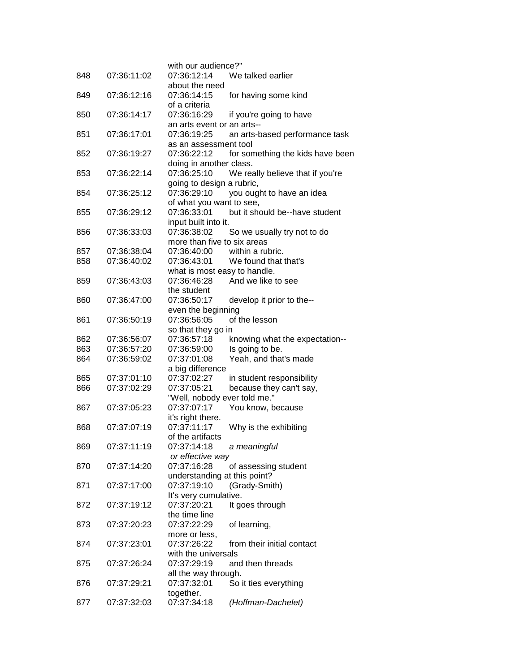|     |             | with our audience?"<br>07:36:12:14        |                                  |
|-----|-------------|-------------------------------------------|----------------------------------|
| 848 | 07:36:11:02 |                                           | We talked earlier                |
|     |             | about the need                            |                                  |
| 849 | 07:36:12:16 | 07:36:14:15                               | for having some kind             |
|     |             | of a criteria<br>07:36:16:29              |                                  |
| 850 | 07:36:14:17 |                                           | if you're going to have          |
| 851 | 07:36:17:01 | an arts event or an arts--<br>07:36:19:25 |                                  |
|     |             | as an assessment tool                     | an arts-based performance task   |
| 852 | 07:36:19:27 | 07:36:22:12                               | for something the kids have been |
|     |             | doing in another class.                   |                                  |
| 853 | 07:36:22:14 | 07:36:25:10                               | We really believe that if you're |
|     |             | going to design a rubric,                 |                                  |
| 854 | 07:36:25:12 | 07:36:29:10                               | you ought to have an idea        |
|     |             | of what you want to see,                  |                                  |
| 855 | 07:36:29:12 | 07:36:33:01                               | but it should be--have student   |
|     |             | input built into it.                      |                                  |
| 856 | 07:36:33:03 | 07:36:38:02                               | So we usually try not to do      |
|     |             | more than five to six areas               |                                  |
| 857 | 07:36:38:04 | 07:36:40:00                               | within a rubric.                 |
| 858 | 07:36:40:02 | 07:36:43:01                               | We found that that's             |
|     |             | what is most easy to handle.              |                                  |
| 859 | 07:36:43:03 | 07:36:46:28                               | And we like to see               |
|     |             | the student                               |                                  |
| 860 | 07:36:47:00 | 07:36:50:17                               | develop it prior to the--        |
|     |             | even the beginning                        |                                  |
| 861 | 07:36:50:19 | 07:36:56:05                               | of the lesson                    |
|     |             | so that they go in                        |                                  |
| 862 | 07:36:56:07 | 07:36:57:18                               | knowing what the expectation--   |
| 863 | 07:36:57:20 | 07:36:59:00                               | Is going to be.                  |
| 864 | 07:36:59:02 | 07:37:01:08                               | Yeah, and that's made            |
|     |             | a big difference                          |                                  |
| 865 | 07:37:01:10 | 07:37:02:27                               | in student responsibility        |
| 866 | 07:37:02:29 | 07:37:05:21                               | because they can't say,          |
|     |             | "Well, nobody ever told me."              |                                  |
| 867 | 07:37:05:23 | 07:37:07:17                               | You know, because                |
|     |             | it's right there.                         |                                  |
| 868 | 07:37:07:19 | 07:37:11:17                               | Why is the exhibiting            |
|     |             | of the artifacts                          |                                  |
| 869 | 07:37:11:19 | 07:37:14:18                               | a meaningful                     |
|     |             | or effective way                          |                                  |
| 870 | 07:37:14:20 | 07:37:16:28                               | of assessing student             |
|     |             | understanding at this point?              |                                  |
| 871 | 07:37:17:00 | 07:37:19:10                               | (Grady-Smith)                    |
|     |             | It's very cumulative.                     |                                  |
| 872 | 07:37:19:12 | 07:37:20:21                               | It goes through                  |
|     |             | the time line                             |                                  |
| 873 | 07:37:20:23 | 07:37:22:29                               | of learning,                     |
|     |             | more or less,                             |                                  |
| 874 | 07:37:23:01 | 07:37:26:22                               | from their initial contact       |
|     |             | with the universals                       |                                  |
| 875 | 07:37:26:24 | 07:37:29:19                               | and then threads                 |
|     |             | all the way through.                      |                                  |
| 876 | 07:37:29:21 | 07:37:32:01                               | So it ties everything            |
|     |             | together.                                 |                                  |
| 877 | 07:37:32:03 | 07:37:34:18                               | (Hoffman-Dachelet)               |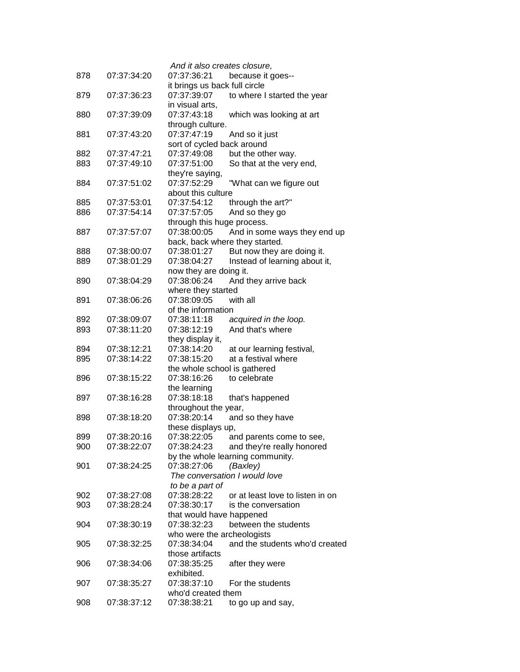| 878 | 07:37:34:20 | And it also creates closure,<br>07:37:36:21 |                                  |
|-----|-------------|---------------------------------------------|----------------------------------|
|     |             | it brings us back full circle               | because it goes--                |
| 879 | 07:37:36:23 | 07:37:39:07                                 | to where I started the year      |
|     |             | in visual arts,                             |                                  |
| 880 | 07:37:39:09 | 07:37:43:18                                 | which was looking at art         |
|     |             | through culture.                            |                                  |
| 881 | 07:37:43:20 | 07:37:47:19                                 | And so it just                   |
|     |             | sort of cycled back around                  |                                  |
| 882 | 07:37:47:21 | 07:37:49:08                                 | but the other way.               |
| 883 | 07:37:49:10 | 07:37:51:00                                 | So that at the very end,         |
|     |             | they're saying,                             |                                  |
| 884 | 07:37:51:02 | 07:37:52:29                                 | "What can we figure out          |
|     |             | about this culture                          |                                  |
| 885 | 07:37:53:01 | 07:37:54:12                                 | through the art?"                |
| 886 | 07:37:54:14 | 07:37:57:05                                 | And so they go                   |
|     |             | through this huge process.                  |                                  |
| 887 | 07:37:57:07 | 07:38:00:05                                 | And in some ways they end up     |
|     |             | back, back where they started.              |                                  |
| 888 | 07:38:00:07 | 07:38:01:27                                 | But now they are doing it.       |
| 889 | 07:38:01:29 | 07:38:04:27                                 | Instead of learning about it,    |
|     |             | now they are doing it.                      |                                  |
| 890 | 07:38:04:29 | 07:38:06:24                                 | And they arrive back             |
|     |             | where they started                          |                                  |
| 891 | 07:38:06:26 | 07:38:09:05                                 | with all                         |
|     |             | of the information                          |                                  |
| 892 | 07:38:09:07 | 07:38:11:18                                 | acquired in the loop.            |
| 893 | 07:38:11:20 | 07:38:12:19                                 | And that's where                 |
|     |             | they display it,                            |                                  |
| 894 | 07:38:12:21 | 07:38:14:20                                 | at our learning festival,        |
| 895 | 07:38:14:22 | 07:38:15:20                                 | at a festival where              |
|     |             | the whole school is gathered                |                                  |
| 896 | 07:38:15:22 | 07:38:16:26                                 | to celebrate                     |
|     |             | the learning                                |                                  |
| 897 | 07:38:16:28 | 07:38:18:18                                 | that's happened                  |
|     |             | throughout the year,                        |                                  |
| 898 | 07:38:18:20 | 07:38:20:14                                 | and so they have                 |
|     |             | these displays up,                          |                                  |
| 899 | 07:38:20:16 | 07:38:22:05                                 | and parents come to see,         |
| 900 | 07:38:22:07 | 07:38:24:23                                 | and they're really honored       |
|     |             |                                             | by the whole learning community. |
| 901 | 07:38:24:25 | 07:38:27:06                                 | (Baxley)                         |
|     |             |                                             | The conversation I would love    |
|     |             | to be a part of                             |                                  |
| 902 | 07:38:27:08 | 07:38:28:22                                 | or at least love to listen in on |
| 903 | 07:38:28:24 | 07:38:30:17                                 | is the conversation              |
|     |             | that would have happened                    |                                  |
| 904 | 07:38:30:19 | 07:38:32:23                                 | between the students             |
|     |             | who were the archeologists                  |                                  |
| 905 | 07:38:32:25 | 07:38:34:04                                 | and the students who'd created   |
|     |             | those artifacts                             |                                  |
| 906 | 07:38:34:06 | 07:38:35:25                                 | after they were                  |
|     |             | exhibited.                                  |                                  |
| 907 | 07:38:35:27 | 07:38:37:10                                 | For the students                 |
|     |             | who'd created them                          |                                  |
| 908 | 07:38:37:12 | 07:38:38:21                                 | to go up and say,                |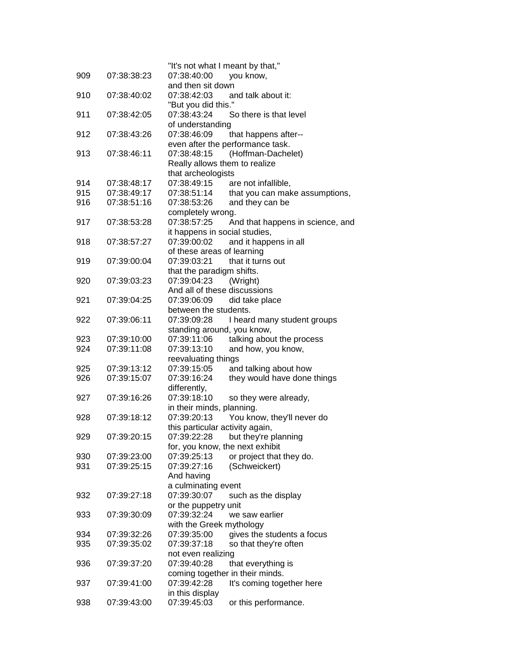| 909 | 07:38:38:23 | "It's not what I meant by that,"<br>07:38:40:00<br>you know,          |
|-----|-------------|-----------------------------------------------------------------------|
|     |             | and then sit down                                                     |
| 910 | 07:38:40:02 | 07:38:42:03<br>and talk about it:                                     |
|     |             | "But you did this."<br>07:38:43:24                                    |
| 911 | 07:38:42:05 | So there is that level<br>of understanding                            |
| 912 | 07:38:43:26 | 07:38:46:09<br>that happens after--                                   |
|     |             | even after the performance task.                                      |
| 913 | 07:38:46:11 | (Hoffman-Dachelet)<br>07:38:48:15                                     |
|     |             | Really allows them to realize                                         |
|     |             | that archeologists                                                    |
| 914 | 07:38:48:17 | 07:38:49:15<br>are not infallible,                                    |
| 915 | 07:38:49:17 | that you can make assumptions,<br>07:38:51:14                         |
| 916 | 07:38:51:16 | and they can be<br>07:38:53:26                                        |
|     |             | completely wrong.                                                     |
| 917 | 07:38:53:28 | 07:38:57:25<br>And that happens in science, and                       |
|     |             | it happens in social studies,                                         |
| 918 | 07:38:57:27 | 07:39:00:02<br>and it happens in all<br>of these areas of learning    |
| 919 | 07:39:00:04 | that it turns out<br>07:39:03:21                                      |
|     |             | that the paradigm shifts.                                             |
| 920 | 07:39:03:23 | (Wright)<br>07:39:04:23                                               |
|     |             | And all of these discussions                                          |
| 921 | 07:39:04:25 | did take place<br>07:39:06:09                                         |
|     |             | between the students.                                                 |
| 922 | 07:39:06:11 | 07:39:09:28<br>I heard many student groups                            |
|     |             | standing around, you know,                                            |
| 923 | 07:39:10:00 | 07:39:11:06<br>talking about the process                              |
| 924 | 07:39:11:08 | 07:39:13:10<br>and how, you know,                                     |
|     |             | reevaluating things                                                   |
| 925 | 07:39:13:12 | 07:39:15:05<br>and talking about how                                  |
| 926 | 07:39:15:07 | 07:39:16:24<br>they would have done things                            |
| 927 | 07:39:16:26 | differently,<br>07:39:18:10<br>so they were already,                  |
|     |             | in their minds, planning.                                             |
| 928 | 07:39:18:12 | 07:39:20:13<br>You know, they'll never do                             |
|     |             | this particular activity again,                                       |
| 929 | 07:39:20:15 | 07:39:22:28<br>but they're planning                                   |
|     |             | for, you know, the next exhibit                                       |
| 930 | 07:39:23:00 | 07:39:25:13<br>or project that they do.                               |
| 931 | 07:39:25:15 | (Schweickert)<br>07:39:27:16                                          |
|     |             | And having                                                            |
|     |             | a culminating event                                                   |
| 932 | 07:39:27:18 | 07:39:30:07<br>such as the display                                    |
|     |             | or the puppetry unit<br>07:39:32:24                                   |
| 933 | 07:39:30:09 | we saw earlier                                                        |
| 934 | 07:39:32:26 | with the Greek mythology<br>07:39:35:00<br>gives the students a focus |
| 935 | 07:39:35:02 | 07:39:37:18<br>so that they're often                                  |
|     |             | not even realizing                                                    |
| 936 | 07:39:37:20 | 07:39:40:28<br>that everything is                                     |
|     |             | coming together in their minds.                                       |
| 937 | 07:39:41:00 | 07:39:42:28<br>It's coming together here                              |
|     |             | in this display                                                       |
| 938 | 07:39:43:00 | 07:39:45:03<br>or this performance.                                   |
|     |             |                                                                       |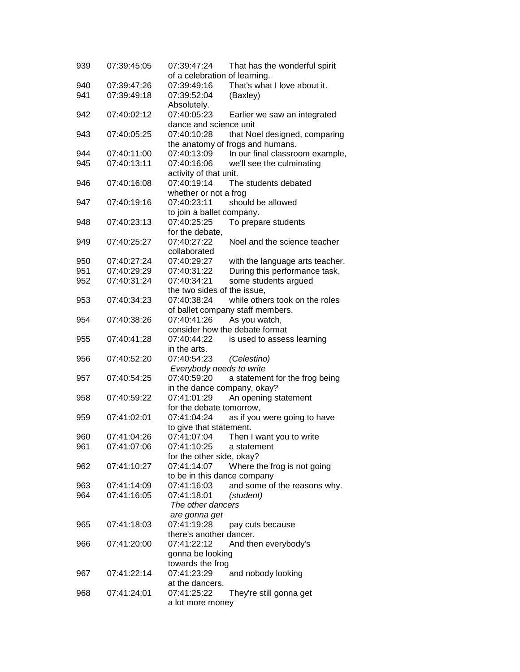| 939        | 07:39:45:05                | 07:39:47:24                                     | That has the wonderful spirit                                |
|------------|----------------------------|-------------------------------------------------|--------------------------------------------------------------|
|            |                            | of a celebration of learning.                   |                                                              |
| 940        | 07:39:47:26                | 07:39:49:16                                     | That's what I love about it.                                 |
| 941        | 07:39:49:18                | 07:39:52:04<br>(Baxley)                         |                                                              |
|            |                            | Absolutely.                                     |                                                              |
| 942        | 07:40:02:12                | 07:40:05:23                                     | Earlier we saw an integrated                                 |
|            |                            | dance and science unit                          |                                                              |
| 943        | 07:40:05:25                | 07:40:10:28                                     | that Noel designed, comparing                                |
|            |                            | the anatomy of frogs and humans.<br>07:40:13:09 |                                                              |
| 944<br>945 | 07:40:11:00<br>07:40:13:11 | 07:40:16:06                                     | In our final classroom example,<br>we'll see the culminating |
|            |                            | activity of that unit.                          |                                                              |
| 946        | 07:40:16:08                | 07:40:19:14                                     | The students debated                                         |
|            |                            | whether or not a frog                           |                                                              |
| 947        | 07:40:19:16                | 07:40:23:11                                     | should be allowed                                            |
|            |                            | to join a ballet company.                       |                                                              |
| 948        | 07:40:23:13                | 07:40:25:25                                     | To prepare students                                          |
|            |                            | for the debate,                                 |                                                              |
| 949        | 07:40:25:27                | 07:40:27:22                                     | Noel and the science teacher                                 |
|            |                            | collaborated                                    |                                                              |
| 950        | 07:40:27:24                | 07:40:29:27                                     | with the language arts teacher.                              |
| 951        | 07:40:29:29                | 07:40:31:22                                     | During this performance task,                                |
| 952        | 07:40:31:24                | 07:40:34:21                                     | some students argued                                         |
|            |                            | the two sides of the issue.                     |                                                              |
| 953        | 07:40:34:23                | 07:40:38:24                                     | while others took on the roles                               |
|            |                            | of ballet company staff members.                |                                                              |
| 954        | 07:40:38:26                | 07:40:41:26                                     | As you watch,                                                |
|            |                            | consider how the debate format                  |                                                              |
| 955        | 07:40:41:28                | 07:40:44:22                                     | is used to assess learning                                   |
|            |                            | in the arts.                                    |                                                              |
| 956        | 07:40:52:20                | 07:40:54:23                                     | (Celestino)                                                  |
|            |                            | Everybody needs to write                        |                                                              |
| 957        | 07:40:54:25                | 07:40:59:20                                     | a statement for the frog being                               |
|            | 07:40:59:22                | in the dance company, okay?                     |                                                              |
| 958        |                            | 07:41:01:29<br>for the debate tomorrow,         | An opening statement                                         |
| 959        | 07:41:02:01                | 07:41:04:24                                     | as if you were going to have                                 |
|            |                            | to give that statement.                         |                                                              |
| 960        | 07:41:04:26                | 07:41:07:04                                     | Then I want you to write                                     |
| 961        | 07:41:07:06                | 07:41:10:25                                     | a statement                                                  |
|            |                            | for the other side, okay?                       |                                                              |
| 962        | 07:41:10:27                | 07:41:14:07                                     | Where the frog is not going                                  |
|            |                            | to be in this dance company                     |                                                              |
| 963        | 07:41:14:09                | 07:41:16:03                                     | and some of the reasons why.                                 |
| 964        | 07:41:16:05                | 07:41:18:01<br>(student)                        |                                                              |
|            |                            | The other dancers                               |                                                              |
|            |                            | are gonna get                                   |                                                              |
| 965        | 07:41:18:03                | 07:41:19:28                                     | pay cuts because                                             |
|            |                            | there's another dancer.                         |                                                              |
| 966        | 07:41:20:00                | 07:41:22:12                                     | And then everybody's                                         |
|            |                            | gonna be looking                                |                                                              |
|            |                            | towards the frog                                |                                                              |
| 967        | 07:41:22:14                | 07:41:23:29                                     | and nobody looking                                           |
|            |                            | at the dancers.                                 |                                                              |
| 968        | 07:41:24:01                | 07:41:25:22                                     | They're still gonna get                                      |
|            |                            | a lot more money                                |                                                              |
|            |                            |                                                 |                                                              |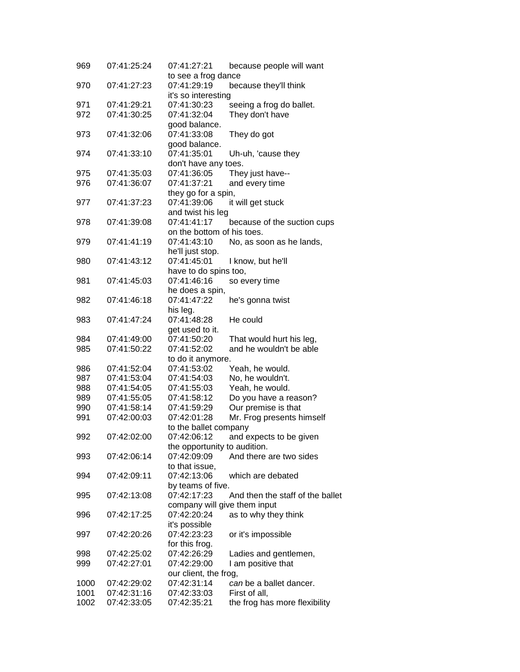| 969  | 07:41:25:24 | 07:41:27:21                  | because people will want         |
|------|-------------|------------------------------|----------------------------------|
|      |             | to see a frog dance          |                                  |
| 970  | 07:41:27:23 | 07:41:29:19                  | because they'll think            |
|      |             | it's so interesting          |                                  |
| 971  | 07:41:29:21 | 07:41:30:23                  | seeing a frog do ballet.         |
| 972  | 07:41:30:25 | 07:41:32:04                  | They don't have                  |
|      |             | good balance.                |                                  |
| 973  | 07:41:32:06 | 07:41:33:08                  | They do got                      |
|      |             | good balance.                |                                  |
| 974  | 07:41:33:10 | 07:41:35:01                  | Uh-uh, 'cause they               |
|      |             | don't have any toes.         |                                  |
| 975  | 07:41:35:03 | 07:41:36:05                  | They just have--                 |
| 976  | 07:41:36:07 | 07:41:37:21                  | and every time                   |
|      |             | they go for a spin,          |                                  |
| 977  | 07:41:37:23 | 07:41:39:06                  | it will get stuck                |
|      |             | and twist his leg            |                                  |
|      | 07:41:39:08 | 07:41:41:17                  |                                  |
| 978  |             |                              | because of the suction cups      |
|      |             | on the bottom of his toes.   |                                  |
| 979  | 07:41:41:19 | 07:41:43:10                  | No, as soon as he lands,         |
|      |             | he'll just stop.             |                                  |
| 980  | 07:41:43:12 | 07:41:45:01                  | I know, but he'll                |
|      |             | have to do spins too,        |                                  |
| 981  | 07:41:45:03 | 07:41:46:16                  | so every time                    |
|      |             | he does a spin,              |                                  |
| 982  | 07:41:46:18 | 07:41:47:22                  | he's gonna twist                 |
|      |             | his leg.                     |                                  |
| 983  | 07:41:47:24 | 07:41:48:28                  | He could                         |
|      |             | get used to it.              |                                  |
| 984  | 07:41:49:00 | 07:41:50:20                  | That would hurt his leg,         |
| 985  | 07:41:50:22 | 07:41:52:02                  | and he wouldn't be able          |
|      |             | to do it anymore.            |                                  |
| 986  | 07:41:52:04 | 07:41:53:02                  | Yeah, he would.                  |
| 987  | 07:41:53:04 | 07:41:54:03                  | No, he wouldn't.                 |
| 988  | 07:41:54:05 | 07:41:55:03                  | Yeah, he would.                  |
| 989  | 07:41:55:05 | 07:41:58:12                  | Do you have a reason?            |
| 990  | 07:41:58:14 | 07:41:59:29                  | Our premise is that              |
| 991  | 07:42:00:03 | 07:42:01:28                  | Mr. Frog presents himself        |
|      |             | to the ballet company        |                                  |
| 992  | 07:42:02:00 | 07:42:06:12                  | and expects to be given          |
|      |             | the opportunity to audition. |                                  |
| 993  | 07:42:06:14 | 07:42:09:09                  | And there are two sides          |
|      |             |                              |                                  |
|      |             | to that issue,               |                                  |
| 994  | 07:42:09:11 | 07:42:13:06                  | which are debated                |
|      |             | by teams of five.            |                                  |
| 995  | 07:42:13:08 | 07:42:17:23                  | And then the staff of the ballet |
|      |             | company will give them input |                                  |
| 996  | 07:42:17:25 | 07:42:20:24                  | as to why they think             |
|      |             | it's possible                |                                  |
| 997  | 07:42:20:26 | 07:42:23:23                  | or it's impossible               |
|      |             | for this frog.               |                                  |
| 998  | 07:42:25:02 | 07:42:26:29                  | Ladies and gentlemen,            |
| 999  | 07:42:27:01 | 07:42:29:00                  | I am positive that               |
|      |             | our client, the frog,        |                                  |
| 1000 | 07:42:29:02 | 07:42:31:14                  | can be a ballet dancer.          |
| 1001 | 07:42:31:16 | 07:42:33:03                  | First of all,                    |
| 1002 | 07:42:33:05 | 07:42:35:21                  | the frog has more flexibility    |
|      |             |                              |                                  |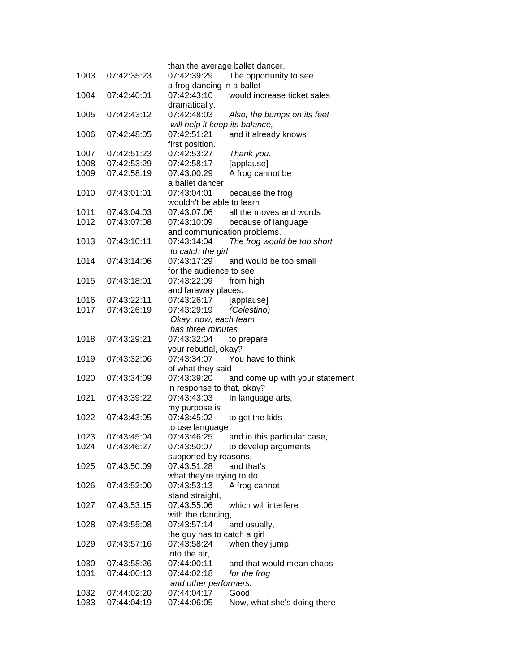| 1003 | 07:42:35:23 | 07:42:39:29                          | than the average ballet dancer.<br>The opportunity to see |
|------|-------------|--------------------------------------|-----------------------------------------------------------|
|      |             | a frog dancing in a ballet           |                                                           |
| 1004 | 07:42:40:01 | 07:42:43:10                          | would increase ticket sales                               |
|      |             | dramatically.                        |                                                           |
| 1005 | 07:42:43:12 | 07:42:48:03                          | Also, the bumps on its feet                               |
|      |             | will help it keep its balance,       |                                                           |
| 1006 | 07:42:48:05 | 07:42:51:21                          | and it already knows                                      |
|      |             | first position.                      |                                                           |
| 1007 | 07:42:51:23 | 07:42:53:27                          | Thank you.                                                |
| 1008 | 07:42:53:29 | 07:42:58:17                          | [applause]                                                |
| 1009 | 07:42:58:19 | 07:43:00:29                          | A frog cannot be                                          |
|      |             | a ballet dancer                      |                                                           |
| 1010 | 07:43:01:01 | 07:43:04:01                          | because the frog                                          |
|      |             | wouldn't be able to learn            |                                                           |
| 1011 | 07:43:04:03 | 07:43:07:06                          | all the moves and words                                   |
| 1012 | 07:43:07:08 | 07:43:10:09                          | because of language                                       |
|      |             |                                      | and communication problems.                               |
| 1013 | 07:43:10:11 | 07:43:14:04                          | The frog would be too short                               |
|      |             | to catch the girl                    |                                                           |
| 1014 | 07:43:14:06 | 07:43:17:29                          | and would be too small                                    |
|      |             | for the audience to see              |                                                           |
| 1015 | 07:43:18:01 | 07:43:22:09                          | from high                                                 |
|      |             | and faraway places.                  |                                                           |
| 1016 | 07:43:22:11 | 07:43:26:17                          | [applause]                                                |
| 1017 | 07:43:26:19 | 07:43:29:19                          | (Celestino)                                               |
|      |             | Okay, now, each team                 |                                                           |
|      |             | has three minutes                    |                                                           |
| 1018 | 07:43:29:21 | 07:43:32:04                          | to prepare                                                |
|      |             | your rebuttal, okay?                 |                                                           |
| 1019 | 07:43:32:06 | 07:43:34:07                          | You have to think                                         |
|      |             | of what they said                    |                                                           |
| 1020 | 07:43:34:09 | 07:43:39:20                          | and come up with your statement                           |
|      |             | in response to that, okay?           |                                                           |
| 1021 | 07:43:39:22 | 07:43:43:03                          | In language arts,                                         |
|      |             | my purpose is                        |                                                           |
| 1022 | 07:43:43:05 | 07:43:45:02                          | to get the kids                                           |
|      |             | to use language                      |                                                           |
| 1023 | 07:43:45:04 | 07:43:46:25                          | and in this particular case,                              |
| 1024 | 07:43:46:27 | 07:43:50:07                          | to develop arguments                                      |
| 1025 | 07:43:50:09 | supported by reasons,<br>07:43:51:28 | and that's                                                |
|      |             | what they're trying to do.           |                                                           |
| 1026 | 07:43:52:00 | 07:43:53:13                          | A frog cannot                                             |
|      |             | stand straight,                      |                                                           |
| 1027 | 07:43:53:15 | 07:43:55:06                          | which will interfere                                      |
|      |             | with the dancing,                    |                                                           |
| 1028 | 07:43:55:08 | 07:43:57:14                          | and usually,                                              |
|      |             | the guy has to catch a girl          |                                                           |
| 1029 | 07:43:57:16 | 07:43:58:24                          | when they jump                                            |
|      |             | into the air,                        |                                                           |
| 1030 | 07:43:58:26 | 07:44:00:11                          | and that would mean chaos                                 |
| 1031 | 07:44:00:13 | 07:44:02:18                          | for the frog                                              |
|      |             | and other performers.                |                                                           |
| 1032 | 07:44:02:20 | 07:44:04:17                          | Good.                                                     |
| 1033 | 07:44:04:19 | 07:44:06:05                          | Now, what she's doing there                               |
|      |             |                                      |                                                           |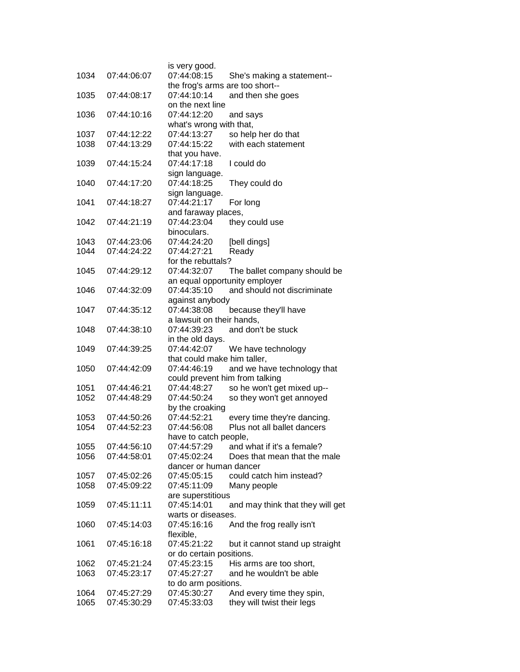|              |                            | is very good.                   |                                                            |
|--------------|----------------------------|---------------------------------|------------------------------------------------------------|
| 1034         | 07:44:06:07                | 07:44:08:15                     | She's making a statement--                                 |
|              |                            | the frog's arms are too short-- |                                                            |
| 1035         | 07:44:08:17                | 07:44:10:14                     | and then she goes                                          |
|              |                            | on the next line                |                                                            |
| 1036         | 07:44:10:16                | 07:44:12:20                     | and says                                                   |
|              |                            | what's wrong with that,         |                                                            |
| 1037         | 07:44:12:22                | 07:44:13:27                     | so help her do that                                        |
| 1038         | 07:44:13:29                | 07:44:15:22                     | with each statement                                        |
|              |                            | that you have.                  |                                                            |
| 1039         | 07:44:15:24                | 07:44:17:18                     | I could do                                                 |
|              |                            | sign language.                  |                                                            |
| 1040         | 07:44:17:20                | 07:44:18:25                     | They could do                                              |
| 1041         | 07:44:18:27                | sign language.<br>07:44:21:17   | For long                                                   |
|              |                            | and faraway places,             |                                                            |
| 1042         | 07:44:21:19                | 07:44:23:04                     | they could use                                             |
|              |                            | binoculars.                     |                                                            |
| 1043         | 07:44:23:06                | 07:44:24:20                     | [bell dings]                                               |
| 1044         | 07:44:24:22                | 07:44:27:21                     | Ready                                                      |
|              |                            | for the rebuttals?              |                                                            |
| 1045         | 07:44:29:12                | 07:44:32:07                     | The ballet company should be                               |
|              |                            | an equal opportunity employer   |                                                            |
| 1046         | 07:44:32:09                | 07:44:35:10                     | and should not discriminate                                |
|              |                            | against anybody                 |                                                            |
| 1047         | 07:44:35:12                | 07:44:38:08                     | because they'll have                                       |
|              |                            | a lawsuit on their hands,       |                                                            |
| 1048         | 07:44:38:10                | 07:44:39:23                     | and don't be stuck                                         |
|              |                            | in the old days.                |                                                            |
| 1049         | 07:44:39:25                | 07:44:42:07                     | We have technology                                         |
|              |                            | that could make him taller,     |                                                            |
| 1050         | 07:44:42:09                | 07:44:46:19                     | and we have technology that                                |
|              |                            | could prevent him from talking  |                                                            |
| 1051         | 07:44:46:21                | 07:44:48:27                     | so he won't get mixed up--                                 |
| 1052         | 07:44:48:29                | 07:44:50:24                     | so they won't get annoyed                                  |
|              |                            | by the croaking                 |                                                            |
| 1053         | 07:44:50:26                | 07:44:52:21                     | every time they're dancing.                                |
| 1054         | 07:44:52:23                | 07:44:56:08                     | Plus not all ballet dancers                                |
|              |                            | have to catch people,           |                                                            |
| 1055<br>1056 | 07:44:56:10<br>07:44:58:01 | 07:44:57:29<br>07:45:02:24      | and what if it's a female?<br>Does that mean that the male |
|              |                            | dancer or human dancer          |                                                            |
| 1057         | 07:45:02:26                | 07:45:05:15                     | could catch him instead?                                   |
| 1058         | 07:45:09:22                | 07:45:11:09                     | Many people                                                |
|              |                            | are superstitious               |                                                            |
| 1059         | 07:45:11:11                | 07:45:14:01                     | and may think that they will get                           |
|              |                            | warts or diseases.              |                                                            |
| 1060         | 07:45:14:03                | 07:45:16:16                     | And the frog really isn't                                  |
|              |                            | flexible,                       |                                                            |
| 1061         | 07:45:16:18                | 07:45:21:22                     | but it cannot stand up straight                            |
|              |                            | or do certain positions.        |                                                            |
| 1062         | 07:45:21:24                | 07:45:23:15                     | His arms are too short,                                    |
| 1063         | 07:45:23:17                | 07:45:27:27                     | and he wouldn't be able                                    |
|              |                            | to do arm positions.            |                                                            |
| 1064         | 07:45:27:29                | 07:45:30:27                     | And every time they spin,                                  |
| 1065         | 07:45:30:29                | 07:45:33:03                     | they will twist their legs                                 |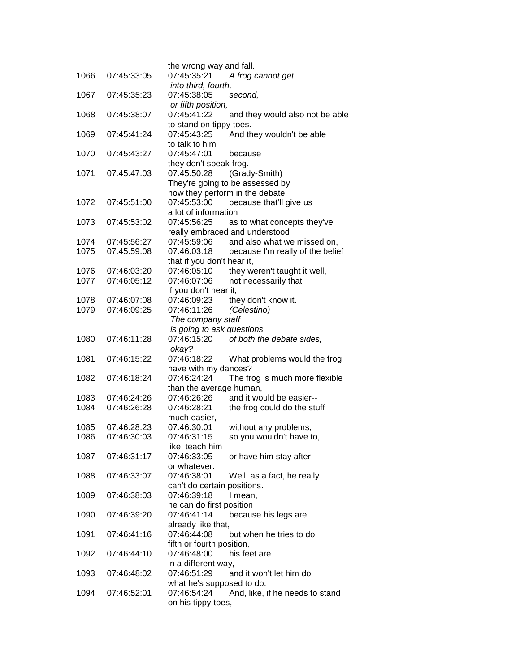| 1066 | 07:45:33:05 | the wrong way and fall.<br>07:45:35:21<br>A frog cannot get |
|------|-------------|-------------------------------------------------------------|
|      |             | into third, fourth,                                         |
| 1067 | 07:45:35:23 | 07:45:38:05<br>second,                                      |
|      |             | or fifth position,                                          |
| 1068 | 07:45:38:07 | 07:45:41:22<br>and they would also not be able              |
|      |             | to stand on tippy-toes.                                     |
| 1069 | 07:45:41:24 | 07:45:43:25<br>And they wouldn't be able                    |
|      |             | to talk to him                                              |
| 1070 | 07:45:43:27 | 07:45:47:01<br>because                                      |
|      |             | they don't speak frog.                                      |
| 1071 | 07:45:47:03 | 07:45:50:28<br>(Grady-Smith)                                |
|      |             | They're going to be assessed by                             |
|      |             | how they perform in the debate                              |
| 1072 | 07:45:51:00 | 07:45:53:00<br>because that'll give us                      |
|      |             | a lot of information                                        |
| 1073 | 07:45:53:02 | 07:45:56:25<br>as to what concepts they've                  |
|      |             | really embraced and understood                              |
| 1074 | 07:45:56:27 | 07:45:59:06<br>and also what we missed on,                  |
| 1075 | 07:45:59:08 | 07:46:03:18<br>because I'm really of the belief             |
|      |             | that if you don't hear it,                                  |
| 1076 | 07:46:03:20 | 07:46:05:10<br>they weren't taught it well,                 |
| 1077 | 07:46:05:12 | not necessarily that<br>07:46:07:06                         |
|      |             | if you don't hear it,                                       |
| 1078 | 07:46:07:08 | they don't know it.<br>07:46:09:23<br>07:46:11:26           |
| 1079 | 07:46:09:25 | (Celestino)                                                 |
|      |             | The company staff<br>is going to ask questions              |
| 1080 | 07:46:11:28 | 07:46:15:20<br>of both the debate sides,                    |
|      |             | okay?                                                       |
| 1081 | 07:46:15:22 | 07:46:18:22<br>What problems would the frog                 |
|      |             | have with my dances?                                        |
| 1082 | 07:46:18:24 | 07:46:24:24<br>The frog is much more flexible               |
|      |             | than the average human,                                     |
| 1083 | 07:46:24:26 | and it would be easier--<br>07:46:26:26                     |
| 1084 | 07:46:26:28 | 07:46:28:21<br>the frog could do the stuff                  |
|      |             | much easier,                                                |
| 1085 | 07:46:28:23 | 07:46:30:01<br>without any problems,                        |
| 1086 | 07:46:30:03 | so you wouldn't have to,<br>07:46:31:15                     |
|      |             | like, teach him                                             |
| 1087 | 07:46:31:17 | 07:46:33:05<br>or have him stay after                       |
|      |             | or whatever.                                                |
| 1088 | 07:46:33:07 | 07:46:38:01<br>Well, as a fact, he really                   |
|      |             | can't do certain positions.                                 |
| 1089 | 07:46:38:03 | 07:46:39:18<br>I mean,                                      |
|      |             | he can do first position                                    |
| 1090 | 07:46:39:20 | 07:46:41:14<br>because his legs are                         |
|      |             | already like that,                                          |
| 1091 | 07:46:41:16 | 07:46:44:08<br>but when he tries to do                      |
|      |             | fifth or fourth position,                                   |
| 1092 | 07:46:44:10 | 07:46:48:00<br>his feet are<br>in a different way,          |
| 1093 | 07:46:48:02 | 07:46:51:29<br>and it won't let him do                      |
|      |             | what he's supposed to do.                                   |
| 1094 | 07:46:52:01 | 07:46:54:24<br>And, like, if he needs to stand              |
|      |             | on his tippy-toes,                                          |
|      |             |                                                             |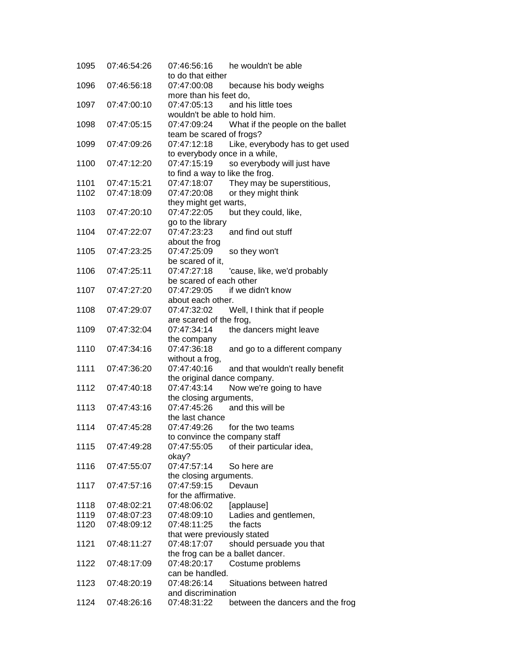| 1095 | 07:46:54:26 | he wouldn't be able<br>07:46:56:16<br>to do that either      |
|------|-------------|--------------------------------------------------------------|
|      | 07:46:56:18 | 07:47:00:08                                                  |
| 1096 |             | because his body weighs                                      |
| 1097 | 07:47:00:10 | more than his feet do,<br>07:47:05:13<br>and his little toes |
|      |             | wouldn't be able to hold him.                                |
|      | 07:47:05:15 | 07:47:09:24                                                  |
| 1098 |             | What if the people on the ballet                             |
|      |             | team be scared of frogs?                                     |
| 1099 | 07:47:09:26 | 07:47:12:18<br>Like, everybody has to get used               |
|      |             | to everybody once in a while,                                |
| 1100 | 07:47:12:20 | 07:47:15:19<br>so everybody will just have                   |
|      |             | to find a way to like the frog.                              |
| 1101 | 07:47:15:21 | 07:47:18:07<br>They may be superstitious,                    |
| 1102 | 07:47:18:09 | 07:47:20:08<br>or they might think                           |
|      |             | they might get warts,                                        |
| 1103 | 07:47:20:10 | 07:47:22:05<br>but they could, like,                         |
|      |             | go to the library                                            |
| 1104 | 07:47:22:07 | 07:47:23:23<br>and find out stuff                            |
|      |             | about the frog                                               |
| 1105 | 07:47:23:25 | 07:47:25:09<br>so they won't                                 |
|      |             | be scared of it,                                             |
| 1106 | 07:47:25:11 | 07:47:27:18<br>'cause, like, we'd probably                   |
|      |             | be scared of each other                                      |
| 1107 | 07:47:27:20 | 07:47:29:05<br>if we didn't know                             |
|      |             | about each other.                                            |
| 1108 | 07:47:29:07 | 07:47:32:02<br>Well, I think that if people                  |
|      |             | are scared of the frog,                                      |
| 1109 | 07:47:32:04 | 07:47:34:14<br>the dancers might leave                       |
|      |             | the company                                                  |
| 1110 | 07:47:34:16 | 07:47:36:18<br>and go to a different company                 |
|      |             |                                                              |
|      |             | without a frog,                                              |
| 1111 | 07:47:36:20 | 07:47:40:16<br>and that wouldn't really benefit              |
|      |             | the original dance company.                                  |
| 1112 | 07:47:40:18 | 07:47:43:14<br>Now we're going to have                       |
|      |             | the closing arguments,                                       |
| 1113 | 07:47:43:16 | and this will be<br>07:47:45:26                              |
|      |             | the last chance                                              |
| 1114 | 07:47:45:28 | for the two teams<br>07:47:49:26                             |
|      |             | to convince the company staff                                |
| 1115 | 07:47:49:28 | 07:47:55:05<br>of their particular idea,                     |
|      |             | okay?                                                        |
| 1116 | 07:47:55:07 | 07:47:57:14<br>So here are                                   |
|      |             | the closing arguments.                                       |
| 1117 | 07:47:57:16 | 07:47:59:15<br>Devaun                                        |
|      |             | for the affirmative.                                         |
| 1118 | 07:48:02:21 | 07:48:06:02<br>[applause]                                    |
| 1119 | 07:48:07:23 | 07:48:09:10<br>Ladies and gentlemen,                         |
| 1120 | 07:48:09:12 | 07:48:11:25<br>the facts                                     |
|      |             | that were previously stated                                  |
| 1121 | 07:48:11:27 | 07:48:17:07<br>should persuade you that                      |
|      |             | the frog can be a ballet dancer.                             |
| 1122 | 07:48:17:09 | 07:48:20:17<br>Costume problems                              |
|      |             | can be handled.                                              |
| 1123 | 07:48:20:19 | 07:48:26:14<br>Situations between hatred                     |
|      |             | and discrimination                                           |
| 1124 | 07:48:26:16 | 07:48:31:22<br>between the dancers and the frog              |
|      |             |                                                              |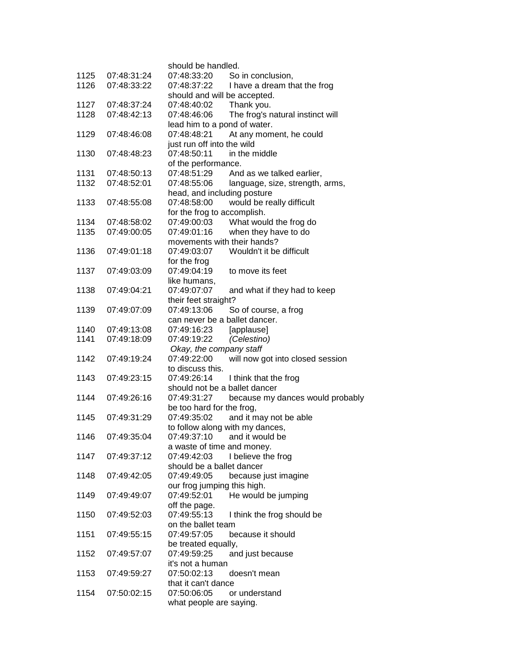|      |             | should be handled.                              |
|------|-------------|-------------------------------------------------|
| 1125 | 07:48:31:24 | 07:48:33:20<br>So in conclusion,                |
| 1126 | 07:48:33:22 | 07:48:37:22<br>I have a dream that the frog     |
|      |             | should and will be accepted.                    |
| 1127 | 07:48:37:24 | Thank you.<br>07:48:40:02                       |
| 1128 | 07:48:42:13 | 07:48:46:06<br>The frog's natural instinct will |
|      |             | lead him to a pond of water.                    |
| 1129 | 07:48:46:08 | At any moment, he could<br>07:48:48:21          |
|      |             | just run off into the wild                      |
| 1130 | 07:48:48:23 | 07:48:50:11<br>in the middle                    |
|      |             | of the performance.                             |
| 1131 | 07:48:50:13 | 07:48:51:29<br>And as we talked earlier,        |
| 1132 | 07:48:52:01 | 07:48:55:06<br>language, size, strength, arms,  |
|      |             | head, and including posture                     |
| 1133 | 07:48:55:08 | 07:48:58:00<br>would be really difficult        |
|      |             | for the frog to accomplish.                     |
| 1134 | 07:48:58:02 | What would the frog do<br>07:49:00:03           |
| 1135 | 07:49:00:05 | 07:49:01:16<br>when they have to do             |
|      |             | movements with their hands?                     |
| 1136 | 07:49:01:18 | 07:49:03:07<br>Wouldn't it be difficult         |
|      |             | for the frog                                    |
| 1137 | 07:49:03:09 | 07:49:04:19<br>to move its feet                 |
|      |             | like humans,                                    |
| 1138 | 07:49:04:21 | 07:49:07:07<br>and what if they had to keep     |
|      |             | their feet straight?                            |
| 1139 | 07:49:07:09 | 07:49:13:06<br>So of course, a frog             |
|      |             | can never be a ballet dancer.                   |
| 1140 | 07:49:13:08 | 07:49:16:23<br>[applause]                       |
| 1141 | 07:49:18:09 | 07:49:19:22<br>(Celestino)                      |
|      |             | Okay, the company staff                         |
| 1142 | 07:49:19:24 | 07:49:22:00<br>will now got into closed session |
|      |             | to discuss this.                                |
| 1143 | 07:49:23:15 | 07:49:26:14<br>I think that the frog            |
|      |             | should not be a ballet dancer                   |
| 1144 | 07:49:26:16 | 07:49:31:27<br>because my dances would probably |
|      |             | be too hard for the frog,                       |
| 1145 | 07:49:31:29 | 07:49:35:02<br>and it may not be able           |
|      |             | to follow along with my dances,                 |
| 1146 | 07:49:35:04 | 07:49:37:10<br>and it would be                  |
|      |             | a waste of time and money.                      |
| 1147 | 07:49:37:12 | 07:49:42:03<br>I believe the frog               |
|      |             | should be a ballet dancer                       |
| 1148 | 07:49:42:05 | 07:49:49:05<br>because just imagine             |
|      |             | our frog jumping this high.                     |
| 1149 | 07:49:49:07 | 07:49:52:01<br>He would be jumping              |
|      |             | off the page.                                   |
| 1150 | 07:49:52:03 | 07:49:55:13<br>I think the frog should be       |
|      |             | on the ballet team                              |
| 1151 | 07:49:55:15 | 07:49:57:05<br>because it should                |
|      |             | be treated equally,                             |
| 1152 | 07:49:57:07 | 07:49:59:25<br>and just because                 |
|      |             | it's not a human                                |
| 1153 | 07:49:59:27 | 07:50:02:13<br>doesn't mean                     |
| 1154 |             | that it can't dance<br>07:50:06:05              |
|      | 07:50:02:15 | or understand                                   |
|      |             | what people are saying.                         |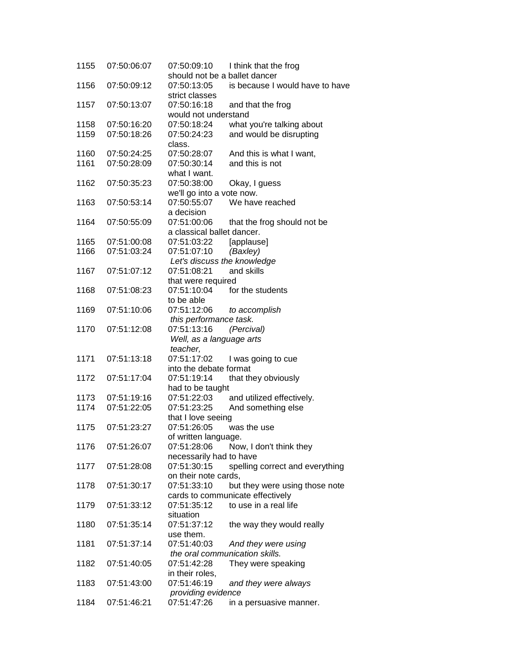| 1155 | 07:50:06:07 | 07:50:09:10                   | I think that the frog            |
|------|-------------|-------------------------------|----------------------------------|
|      |             | should not be a ballet dancer |                                  |
| 1156 | 07:50:09:12 | 07:50:13:05                   | is because I would have to have  |
|      |             | strict classes                |                                  |
| 1157 | 07:50:13:07 | 07:50:16:18                   | and that the frog                |
|      |             | would not understand          |                                  |
| 1158 | 07:50:16:20 | 07:50:18:24                   | what you're talking about        |
| 1159 | 07:50:18:26 | 07:50:24:23                   | and would be disrupting          |
|      |             | class.                        |                                  |
| 1160 | 07:50:24:25 | 07:50:28:07                   | And this is what I want,         |
| 1161 | 07:50:28:09 | 07:50:30:14                   | and this is not                  |
|      |             | what I want.                  |                                  |
| 1162 | 07:50:35:23 | 07:50:38:00                   | Okay, I guess                    |
|      |             | we'll go into a vote now.     |                                  |
| 1163 | 07:50:53:14 | 07:50:55:07                   | We have reached                  |
|      |             | a decision                    |                                  |
| 1164 | 07:50:55:09 | 07:51:00:06                   | that the frog should not be      |
|      |             | a classical ballet dancer.    |                                  |
| 1165 | 07:51:00:08 | 07:51:03:22                   | [applause]                       |
| 1166 | 07:51:03:24 | 07:51:07:10                   | (Baxley)                         |
|      |             | Let's discuss the knowledge   |                                  |
|      |             |                               | and skills                       |
| 1167 | 07:51:07:12 | 07:51:08:21                   |                                  |
|      |             | that were required            |                                  |
| 1168 | 07:51:08:23 | 07:51:10:04                   | for the students                 |
|      |             | to be able                    |                                  |
| 1169 | 07:51:10:06 | 07:51:12:06                   | to accomplish                    |
|      |             | this performance task.        |                                  |
| 1170 | 07:51:12:08 | 07:51:13:16                   | (Percival)                       |
|      |             | Well, as a language arts      |                                  |
|      |             | teacher,                      |                                  |
| 1171 | 07:51:13:18 | 07:51:17:02                   | I was going to cue               |
|      |             | into the debate format        |                                  |
| 1172 | 07:51:17:04 | 07:51:19:14                   | that they obviously              |
|      |             | had to be taught              |                                  |
| 1173 | 07:51:19:16 | 07:51:22:03                   | and utilized effectively.        |
| 1174 | 07:51:22:05 | 07:51:23:25                   | And something else               |
|      |             | that I love seeing            |                                  |
| 1175 | 07:51:23:27 | 07:51:26:05                   | was the use                      |
|      |             | of written language.          |                                  |
| 1176 | 07:51:26:07 | 07:51:28:06                   | Now, I don't think they          |
|      |             | necessarily had to have       |                                  |
| 1177 | 07:51:28:08 | 07:51:30:15                   | spelling correct and everything  |
|      |             | on their note cards.          |                                  |
| 1178 | 07:51:30:17 | 07:51:33:10                   |                                  |
|      |             |                               | but they were using those note   |
|      |             |                               | cards to communicate effectively |
| 1179 | 07:51:33:12 | 07:51:35:12                   | to use in a real life            |
|      |             | situation                     |                                  |
| 1180 | 07:51:35:14 | 07:51:37:12                   | the way they would really        |
|      |             | use them.                     |                                  |
| 1181 | 07:51:37:14 | 07:51:40:03                   | And they were using              |
|      |             |                               | the oral communication skills.   |
| 1182 | 07:51:40:05 | 07:51:42:28                   | They were speaking               |
|      |             | in their roles,               |                                  |
| 1183 | 07:51:43:00 | 07:51:46:19                   | and they were always             |
|      |             | providing evidence            |                                  |
| 1184 | 07:51:46:21 | 07:51:47:26                   | in a persuasive manner.          |
|      |             |                               |                                  |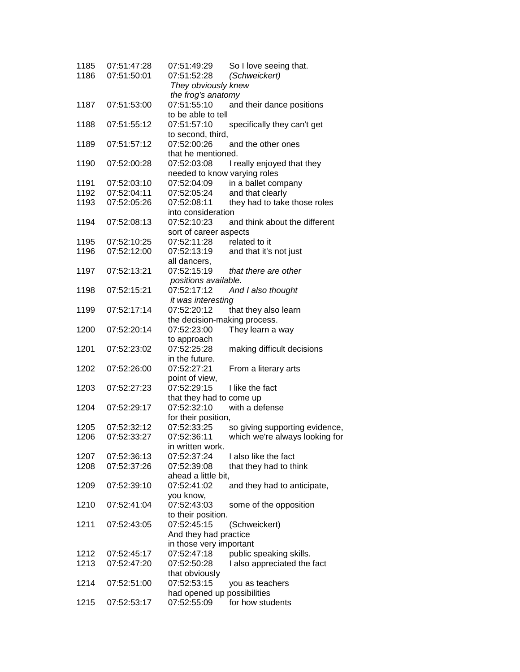| 1185 | 07:51:47:28 | 07:51:49:29                  | So I love seeing that.         |
|------|-------------|------------------------------|--------------------------------|
| 1186 | 07:51:50:01 | 07:51:52:28                  | (Schweickert)                  |
|      |             | They obviously knew          |                                |
|      |             | the frog's anatomy           |                                |
| 1187 | 07:51:53:00 | 07:51:55:10                  | and their dance positions      |
|      |             | to be able to tell           |                                |
| 1188 | 07:51:55:12 | 07:51:57:10                  | specifically they can't get    |
|      |             | to second, third,            |                                |
| 1189 | 07:51:57:12 | 07:52:00:26                  | and the other ones             |
|      |             | that he mentioned.           |                                |
| 1190 | 07:52:00:28 | 07:52:03:08                  | I really enjoyed that they     |
|      |             | needed to know varying roles |                                |
| 1191 | 07:52:03:10 | 07:52:04:09                  | in a ballet company            |
| 1192 | 07:52:04:11 | 07:52:05:24                  | and that clearly               |
| 1193 | 07:52:05:26 | 07:52:08:11                  | they had to take those roles   |
|      |             | into consideration           |                                |
| 1194 | 07:52:08:13 | 07:52:10:23                  | and think about the different  |
|      |             | sort of career aspects       |                                |
| 1195 | 07:52:10:25 | 07:52:11:28                  | related to it                  |
| 1196 | 07:52:12:00 | 07:52:13:19                  | and that it's not just         |
|      |             | all dancers,                 |                                |
| 1197 | 07:52:13:21 | 07:52:15:19                  | that there are other           |
|      |             | positions available.         |                                |
| 1198 | 07:52:15:21 | 07:52:17:12                  | And I also thought             |
|      |             | it was interesting           |                                |
| 1199 | 07:52:17:14 | 07:52:20:12                  | that they also learn           |
|      |             | the decision-making process. |                                |
| 1200 | 07:52:20:14 | 07:52:23:00                  | They learn a way               |
|      |             | to approach                  |                                |
| 1201 | 07:52:23:02 | 07:52:25:28                  | making difficult decisions     |
|      |             | in the future.               |                                |
| 1202 | 07:52:26:00 | 07:52:27:21                  | From a literary arts           |
|      |             | point of view,               |                                |
| 1203 | 07:52:27:23 | 07:52:29:15                  | I like the fact                |
|      |             | that they had to come up     |                                |
| 1204 | 07:52:29:17 | 07:52:32:10                  | with a defense                 |
|      |             | for their position,          |                                |
| 1205 | 07:52:32:12 | 07:52:33:25                  | so giving supporting evidence, |
| 1206 | 07:52:33:27 | 07:52:36:11                  | which we're always looking for |
|      |             | in written work.             |                                |
| 1207 | 07:52:36:13 | 07:52:37:24                  | I also like the fact           |
| 1208 | 07:52:37:26 | 07:52:39:08                  | that they had to think         |
|      |             | ahead a little bit,          |                                |
| 1209 | 07:52:39:10 | 07:52:41:02                  | and they had to anticipate,    |
|      |             | you know,                    |                                |
| 1210 | 07:52:41:04 | 07:52:43:03                  | some of the opposition         |
|      |             | to their position.           |                                |
| 1211 | 07:52:43:05 | 07:52:45:15                  | (Schweickert)                  |
|      |             | And they had practice        |                                |
|      |             | in those very important      |                                |
| 1212 | 07:52:45:17 | 07:52:47:18                  | public speaking skills.        |
| 1213 | 07:52:47:20 | 07:52:50:28                  | I also appreciated the fact    |
|      |             | that obviously               |                                |
| 1214 | 07:52:51:00 | 07:52:53:15                  | you as teachers                |
|      |             | had opened up possibilities  |                                |
| 1215 | 07:52:53:17 | 07:52:55:09                  | for how students               |
|      |             |                              |                                |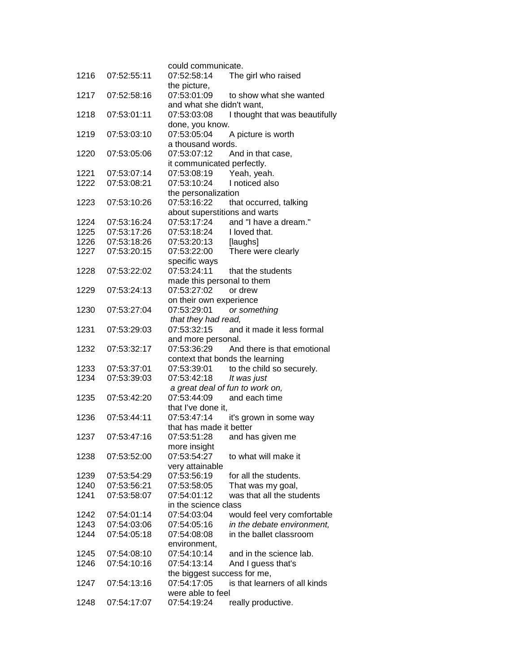|              |                            | could communicate.              |                                |
|--------------|----------------------------|---------------------------------|--------------------------------|
| 1216         | 07:52:55:11                | 07:52:58:14                     | The girl who raised            |
|              |                            | the picture,                    |                                |
| 1217         | 07:52:58:16                | 07:53:01:09                     | to show what she wanted        |
|              |                            | and what she didn't want,       |                                |
| 1218         | 07:53:01:11                | 07:53:03:08                     | I thought that was beautifully |
|              |                            | done, you know.                 |                                |
| 1219         | 07:53:03:10                | 07:53:05:04                     | A picture is worth             |
|              |                            | a thousand words.               |                                |
| 1220         | 07:53:05:06                | 07:53:07:12                     | And in that case,              |
|              |                            | it communicated perfectly.      |                                |
| 1221         | 07:53:07:14                | 07:53:08:19                     | Yeah, yeah.                    |
| 1222         | 07:53:08:21                | 07:53:10:24                     | I noticed also                 |
|              |                            | the personalization             |                                |
| 1223         | 07:53:10:26                | 07:53:16:22                     | that occurred, talking         |
|              |                            | about superstitions and warts   |                                |
| 1224         | 07:53:16:24                | 07:53:17:24                     | and "I have a dream."          |
| 1225         | 07:53:17:26                | 07:53:18:24                     | I loved that.                  |
| 1226         | 07:53:18:26                | 07:53:20:13                     | [laughs]                       |
| 1227         | 07:53:20:15                | 07:53:22:00                     | There were clearly             |
| 1228         | 07:53:22:02                | specific ways<br>07:53:24:11    | that the students              |
|              |                            | made this personal to them      |                                |
| 1229         | 07:53:24:13                | 07:53:27:02                     | or drew                        |
|              |                            | on their own experience         |                                |
| 1230         | 07:53:27:04                | 07:53:29:01                     | or something                   |
|              |                            | that they had read,             |                                |
| 1231         | 07:53:29:03                | 07:53:32:15                     | and it made it less formal     |
|              |                            | and more personal.              |                                |
| 1232         | 07:53:32:17                | 07:53:36:29                     | And there is that emotional    |
|              |                            | context that bonds the learning |                                |
| 1233         | 07:53:37:01                | 07:53:39:01                     | to the child so securely.      |
| 1234         | 07:53:39:03                | 07:53:42:18                     | It was just                    |
|              |                            | a great deal of fun to work on, |                                |
| 1235         | 07:53:42:20                | 07:53:44:09                     | and each time                  |
|              |                            | that I've done it.              |                                |
| 1236         | 07:53:44:11                | 07:53:47:14                     | it's grown in some way         |
|              |                            | that has made it better         |                                |
| 1237         | 07:53:47:16                | 07:53:51:28                     | and has given me               |
|              |                            | more insight                    |                                |
| 1238         | 07:53:52:00                | 07:53:54:27                     | to what will make it           |
|              |                            | very attainable<br>07:53:56:19  | for all the students.          |
| 1239<br>1240 | 07:53:54:29<br>07:53:56:21 | 07:53:58:05                     | That was my goal,              |
| 1241         | 07:53:58:07                | 07:54:01:12                     | was that all the students      |
|              |                            | in the science class            |                                |
| 1242         | 07:54:01:14                | 07:54:03:04                     | would feel very comfortable    |
| 1243         | 07:54:03:06                | 07:54:05:16                     | in the debate environment,     |
| 1244         | 07:54:05:18                | 07:54:08:08                     | in the ballet classroom        |
|              |                            | environment,                    |                                |
| 1245         | 07:54:08:10                | 07:54:10:14                     | and in the science lab.        |
| 1246         | 07:54:10:16                | 07:54:13:14                     | And I guess that's             |
|              |                            | the biggest success for me,     |                                |
| 1247         | 07:54:13:16                | 07:54:17:05                     | is that learners of all kinds  |
|              |                            | were able to feel               |                                |
| 1248         | 07:54:17:07                | 07:54:19:24                     | really productive.             |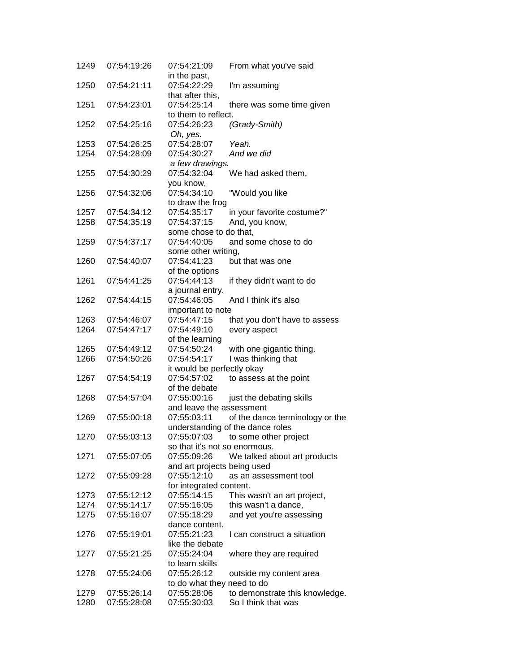| 1249 | 07:54:19:26 | 07:54:21:09                     | From what you've said            |
|------|-------------|---------------------------------|----------------------------------|
|      |             | in the past,                    |                                  |
| 1250 | 07:54:21:11 | 07:54:22:29                     | I'm assuming                     |
|      |             | that after this,                |                                  |
| 1251 | 07:54:23:01 | 07:54:25:14                     | there was some time given        |
|      |             | to them to reflect.             |                                  |
| 1252 | 07:54:25:16 | 07:54:26:23                     | (Grady-Smith)                    |
|      |             | Oh, yes.                        |                                  |
| 1253 | 07:54:26:25 | 07:54:28:07                     | Yeah.                            |
| 1254 | 07:54:28:09 | 07:54:30:27                     | And we did                       |
|      |             | a few drawings.                 |                                  |
| 1255 | 07:54:30:29 | 07:54:32:04                     | We had asked them,               |
|      |             | you know,                       |                                  |
| 1256 | 07:54:32:06 | 07:54:34:10                     | "Would you like                  |
|      |             | to draw the frog                |                                  |
| 1257 | 07:54:34:12 | 07:54:35:17                     | in your favorite costume?"       |
| 1258 | 07:54:35:19 | 07:54:37:15                     | And, you know,                   |
|      |             | some chose to do that,          |                                  |
| 1259 | 07:54:37:17 | 07:54:40:05                     | and some chose to do             |
|      |             | some other writing,             |                                  |
| 1260 | 07:54:40:07 | 07:54:41:23                     | but that was one                 |
|      |             | of the options                  |                                  |
| 1261 | 07:54:41:25 | 07:54:44:13                     | if they didn't want to do        |
|      |             |                                 |                                  |
|      |             | a journal entry.<br>07:54:46:05 |                                  |
| 1262 | 07:54:44:15 |                                 | And I think it's also            |
|      |             | important to note               |                                  |
| 1263 | 07:54:46:07 | 07:54:47:15                     | that you don't have to assess    |
| 1264 | 07:54:47:17 | 07:54:49:10                     | every aspect                     |
|      |             | of the learning                 |                                  |
| 1265 | 07:54:49:12 | 07:54:50:24                     | with one gigantic thing.         |
| 1266 | 07:54:50:26 | 07:54:54:17                     | I was thinking that              |
|      |             | it would be perfectly okay      |                                  |
| 1267 | 07:54:54:19 | 07:54:57:02                     | to assess at the point           |
|      |             | of the debate                   |                                  |
| 1268 | 07:54:57:04 | 07:55:00:16                     | just the debating skills         |
|      |             | and leave the assessment        |                                  |
| 1269 | 07:55:00:18 | 07:55:03:11                     | of the dance terminology or the  |
|      |             |                                 | understanding of the dance roles |
| 1270 | 07:55:03:13 | 07:55:07:03                     | to some other project            |
|      |             | so that it's not so enormous.   |                                  |
| 1271 | 07:55:07:05 | 07:55:09:26                     | We talked about art products     |
|      |             | and art projects being used     |                                  |
| 1272 | 07:55:09:28 | 07:55:12:10                     | as an assessment tool            |
|      |             | for integrated content.         |                                  |
| 1273 | 07:55:12:12 | 07:55:14:15                     | This wasn't an art project,      |
| 1274 | 07:55:14:17 | 07:55:16:05                     | this wasn't a dance,             |
| 1275 | 07:55:16:07 | 07:55:18:29                     | and yet you're assessing         |
|      |             | dance content.                  |                                  |
| 1276 | 07:55:19:01 | 07:55:21:23                     | I can construct a situation      |
|      |             | like the debate                 |                                  |
| 1277 | 07:55:21:25 | 07:55:24:04                     | where they are required          |
|      |             | to learn skills                 |                                  |
| 1278 | 07:55:24:06 | 07:55:26:12                     | outside my content area          |
|      |             | to do what they need to do      |                                  |
| 1279 | 07:55:26:14 | 07:55:28:06                     | to demonstrate this knowledge.   |
| 1280 | 07:55:28:08 | 07:55:30:03                     | So I think that was              |
|      |             |                                 |                                  |